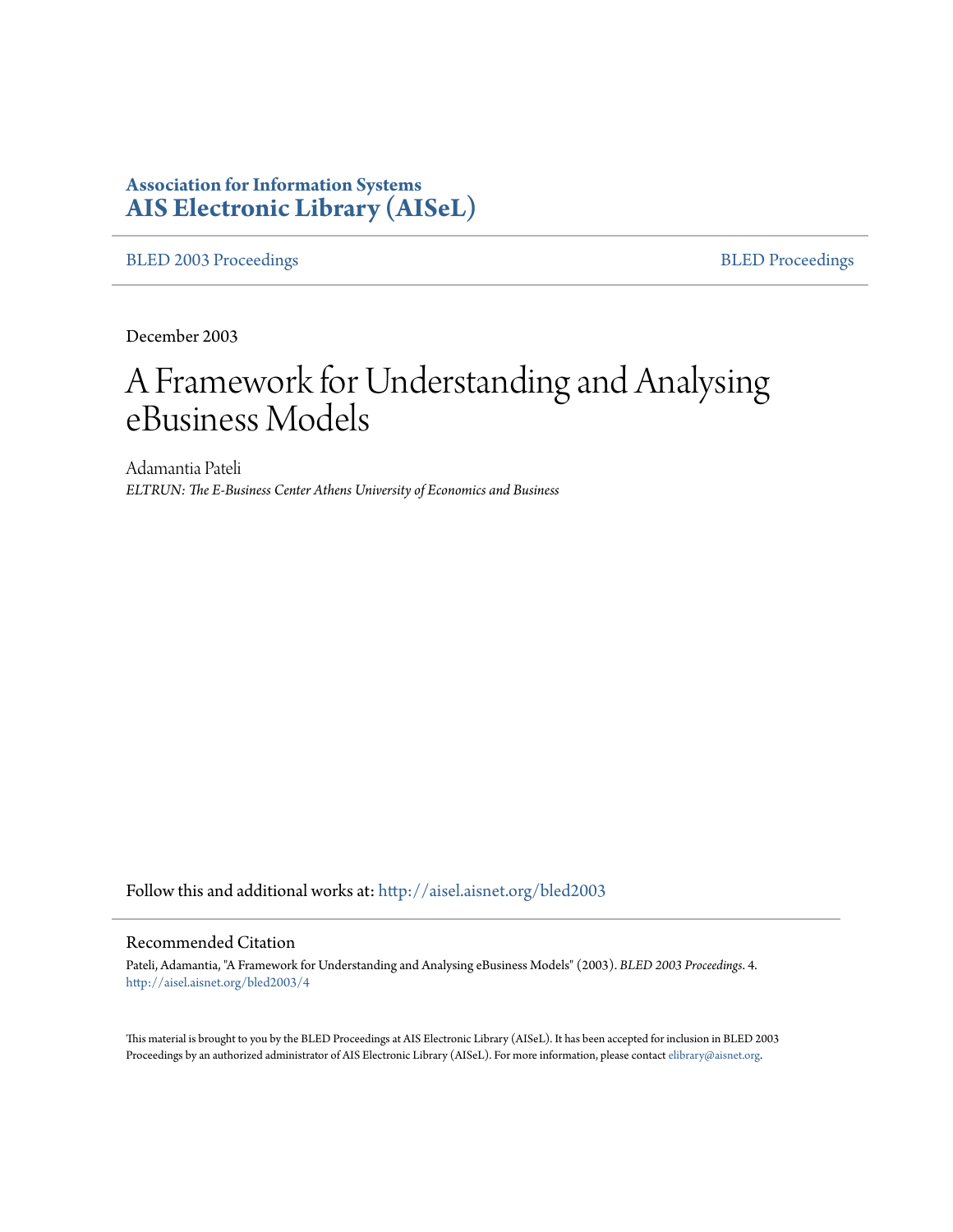# **Association for Information Systems [AIS Electronic Library \(AISeL\)](http://aisel.aisnet.org?utm_source=aisel.aisnet.org%2Fbled2003%2F4&utm_medium=PDF&utm_campaign=PDFCoverPages)**

[BLED 2003 Proceedings](http://aisel.aisnet.org/bled2003?utm_source=aisel.aisnet.org%2Fbled2003%2F4&utm_medium=PDF&utm_campaign=PDFCoverPages) **[BLED Proceedings](http://aisel.aisnet.org/bled?utm_source=aisel.aisnet.org%2Fbled2003%2F4&utm_medium=PDF&utm_campaign=PDFCoverPages)** 

December 2003

# A Framework for Understanding and Analysing eBusiness Models

Adamantia Pateli *ELTRUN: The E-Business Center Athens University of Economics and Business*

Follow this and additional works at: [http://aisel.aisnet.org/bled2003](http://aisel.aisnet.org/bled2003?utm_source=aisel.aisnet.org%2Fbled2003%2F4&utm_medium=PDF&utm_campaign=PDFCoverPages)

#### Recommended Citation

Pateli, Adamantia, "A Framework for Understanding and Analysing eBusiness Models" (2003). *BLED 2003 Proceedings*. 4. [http://aisel.aisnet.org/bled2003/4](http://aisel.aisnet.org/bled2003/4?utm_source=aisel.aisnet.org%2Fbled2003%2F4&utm_medium=PDF&utm_campaign=PDFCoverPages)

This material is brought to you by the BLED Proceedings at AIS Electronic Library (AISeL). It has been accepted for inclusion in BLED 2003 Proceedings by an authorized administrator of AIS Electronic Library (AISeL). For more information, please contact [elibrary@aisnet.org](mailto:elibrary@aisnet.org%3E).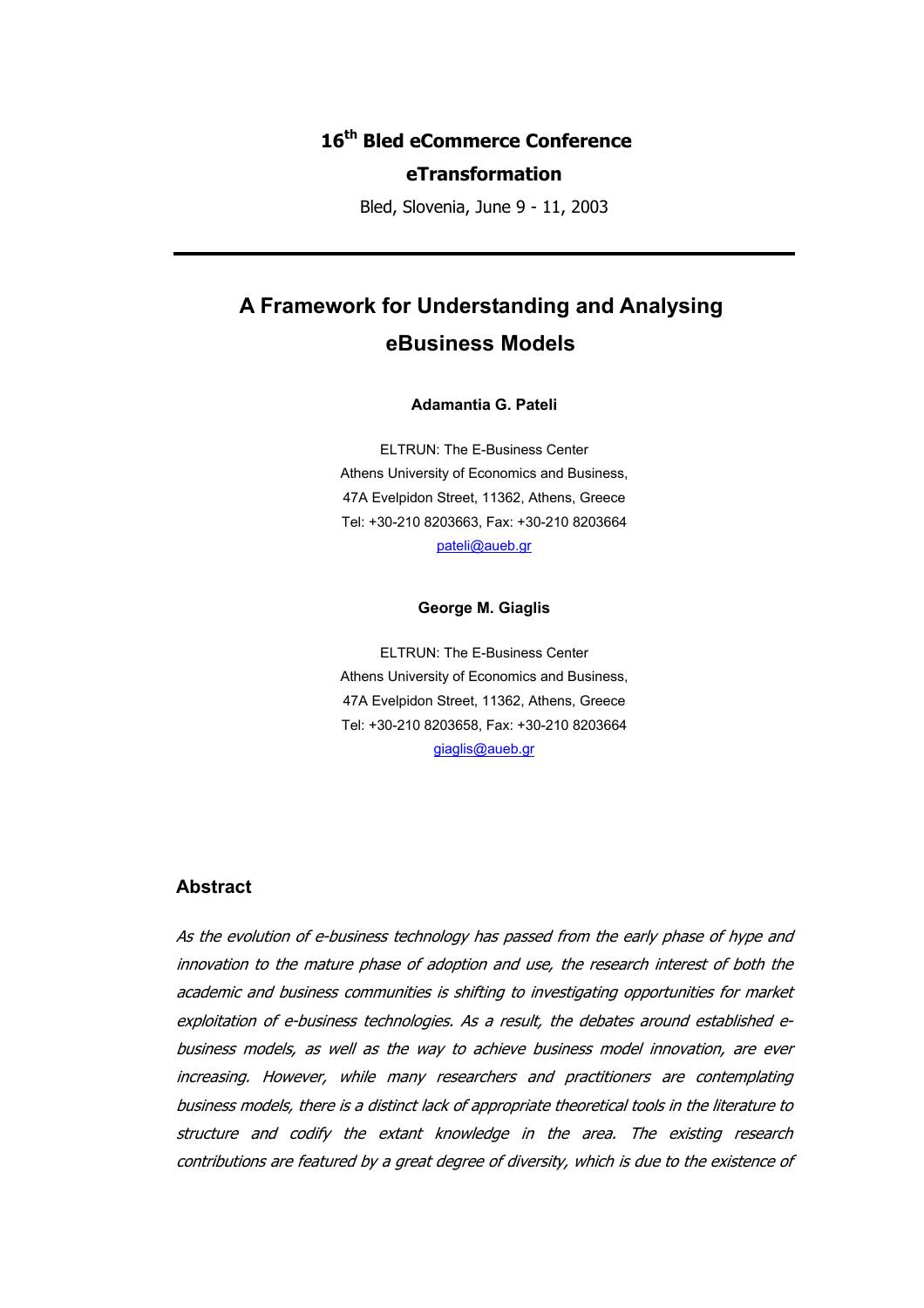# **16th Bled eCommerce Conference**

# **eTransformation**

Bled, Slovenia, June 9 - 11, 2003

# **A Framework for Understanding and Analysing eBusiness Models**

#### **Adamantia G. Pateli**

ELTRUN: The E-Business Center Athens University of Economics and Business, 47A Evelpidon Street, 11362, Athens, Greece Tel: +30-210 8203663, Fax: +30-210 8203664 [pateli@aueb.gr](mailto:pateli@aueb.gr)

#### **George M. Giaglis**

ELTRUN: The E-Business Center Athens University of Economics and Business, 47A Evelpidon Street, 11362, Athens, Greece Tel: +30-210 8203658, Fax: +30-210 8203664 [giaglis@aueb.gr](mailto:giaglis@aueb.gr)

# **Abstract**

As the evolution of e-business technology has passed from the early phase of hype and innovation to the mature phase of adoption and use, the research interest of both the academic and business communities is shifting to investigating opportunities for market exploitation of e-business technologies. As a result, the debates around established ebusiness models, as well as the way to achieve business model innovation, are ever increasing. However, while many researchers and practitioners are contemplating business models, there is a distinct lack of appropriate theoretical tools in the literature to structure and codify the extant knowledge in the area. The existing research contributions are featured by a great degree of diversity, which is due to the existence of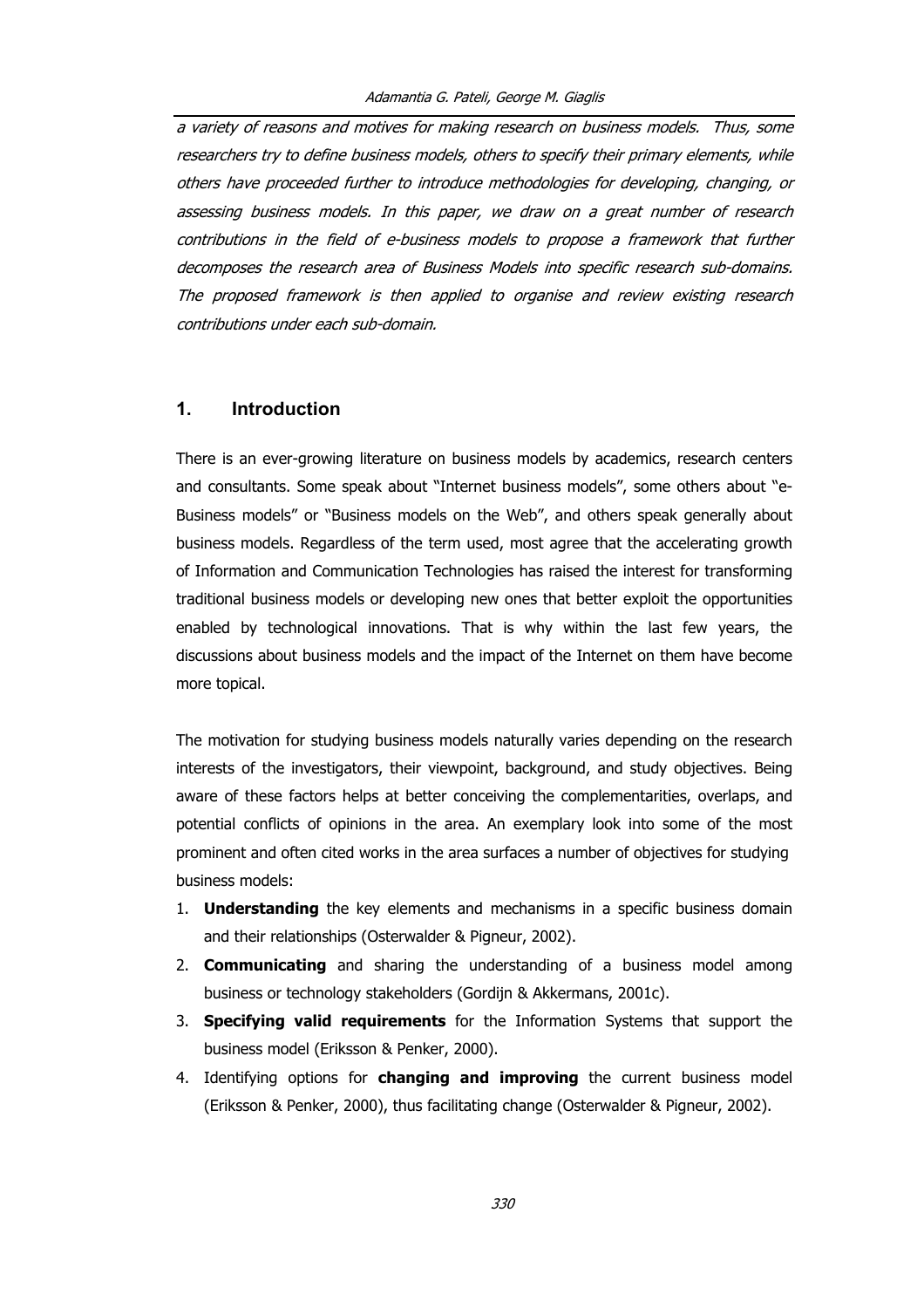a variety of reasons and motives for making research on business models. Thus, some researchers try to define business models, others to specify their primary elements, while others have proceeded further to introduce methodologies for developing, changing, or assessing business models. In this paper, we draw on a great number of research contributions in the field of e-business models to propose a framework that further decomposes the research area of Business Models into specific research sub-domains. The proposed framework is then applied to organise and review existing research contributions under each sub-domain.

# **1. Introduction**

There is an ever-growing literature on business models by academics, research centers and consultants. Some speak about "Internet business models", some others about "e-Business models" or "Business models on the Web", and others speak generally about business models. Regardless of the term used, most agree that the accelerating growth of Information and Communication Technologies has raised the interest for transforming traditional business models or developing new ones that better exploit the opportunities enabled by technological innovations. That is why within the last few years, the discussions about business models and the impact of the Internet on them have become more topical.

The motivation for studying business models naturally varies depending on the research interests of the investigators, their viewpoint, background, and study objectives. Being aware of these factors helps at better conceiving the complementarities, overlaps, and potential conflicts of opinions in the area. An exemplary look into some of the most prominent and often cited works in the area surfaces a number of objectives for studying business models:

- 1. **Understanding** the key elements and mechanisms in a specific business domain and their relationships (Osterwalder & Pigneur, 2002).
- 2. **Communicating** and sharing the understanding of a business model among business or technology stakeholders (Gordijn & Akkermans, 2001c).
- 3. **Specifying valid requirements** for the Information Systems that support the business model (Eriksson & Penker, 2000).
- 4. Identifying options for **changing and improving** the current business model (Eriksson & Penker, 2000), thus facilitating change (Osterwalder & Pigneur, 2002).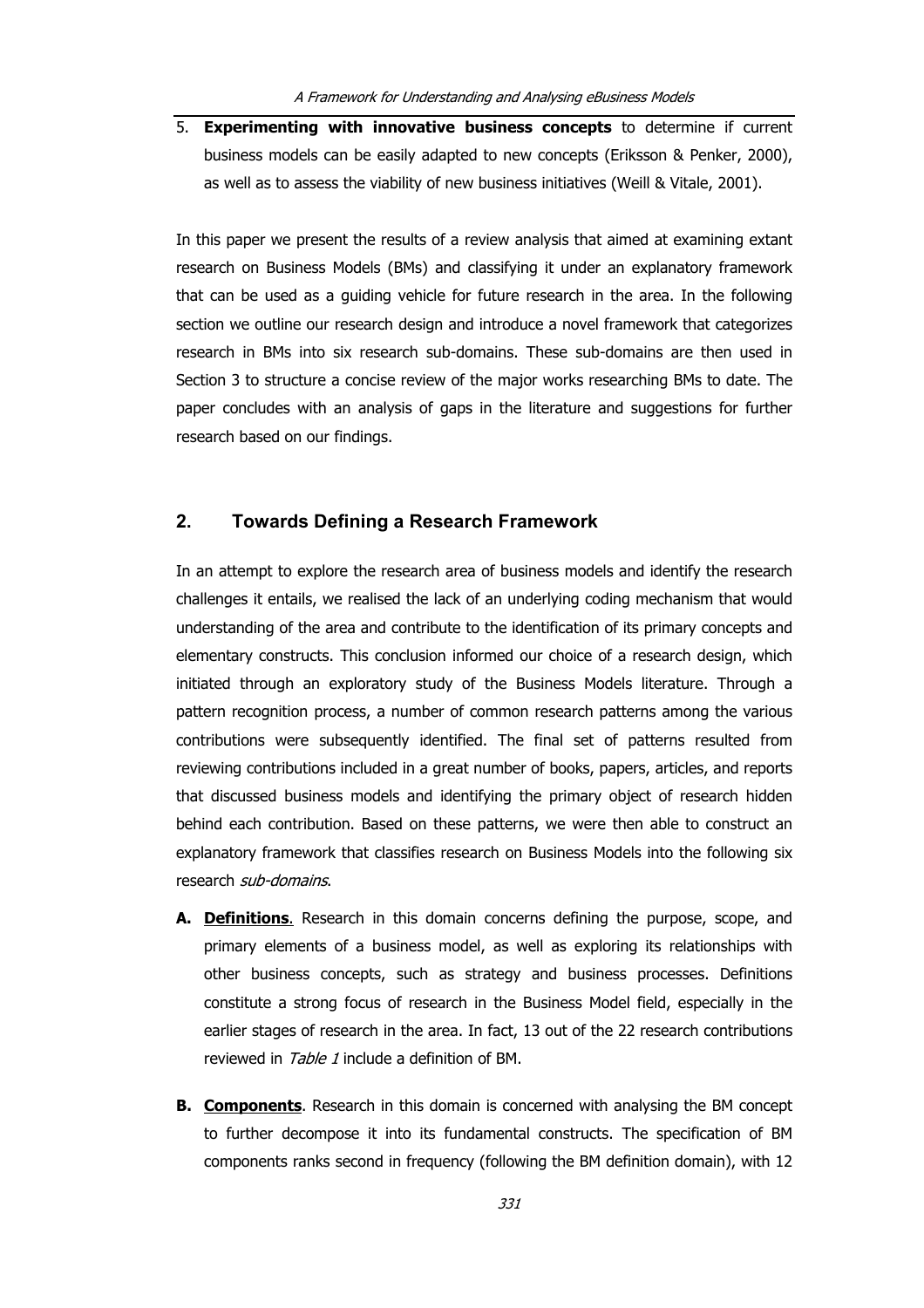5. **Experimenting with innovative business concepts** to determine if current business models can be easily adapted to new concepts (Eriksson & Penker, 2000), as well as to assess the viability of new business initiatives (Weill & Vitale, 2001).

In this paper we present the results of a review analysis that aimed at examining extant research on Business Models (BMs) and classifying it under an explanatory framework that can be used as a guiding vehicle for future research in the area. In the following section we outline our research design and introduce a novel framework that categorizes research in BMs into six research sub-domains. These sub-domains are then used in Section 3 to structure a concise review of the major works researching BMs to date. The paper concludes with an analysis of gaps in the literature and suggestions for further research based on our findings.

# **2. Towards Defining a Research Framework**

In an attempt to explore the research area of business models and identify the research challenges it entails, we realised the lack of an underlying coding mechanism that would understanding of the area and contribute to the identification of its primary concepts and elementary constructs. This conclusion informed our choice of a research design, which initiated through an exploratory study of the Business Models literature. Through a pattern recognition process, a number of common research patterns among the various contributions were subsequently identified. The final set of patterns resulted from reviewing contributions included in a great number of books, papers, articles, and reports that discussed business models and identifying the primary object of research hidden behind each contribution. Based on these patterns, we were then able to construct an explanatory framework that classifies research on Business Models into the following six research sub-domains.

- **A. Definitions**. Research in this domain concerns defining the purpose, scope, and primary elements of a business model, as well as exploring its relationships with other business concepts, such as strategy and business processes. Definitions constitute a strong focus of research in the Business Model field, especially in the earlier stages of research in the area. In fact, 13 out of the 22 research contributions reviewed in *Table 1* include a definition of BM.
- **B. Components**. Research in this domain is concerned with analysing the BM concept to further decompose it into its fundamental constructs. The specification of BM components ranks second in frequency (following the BM definition domain), with 12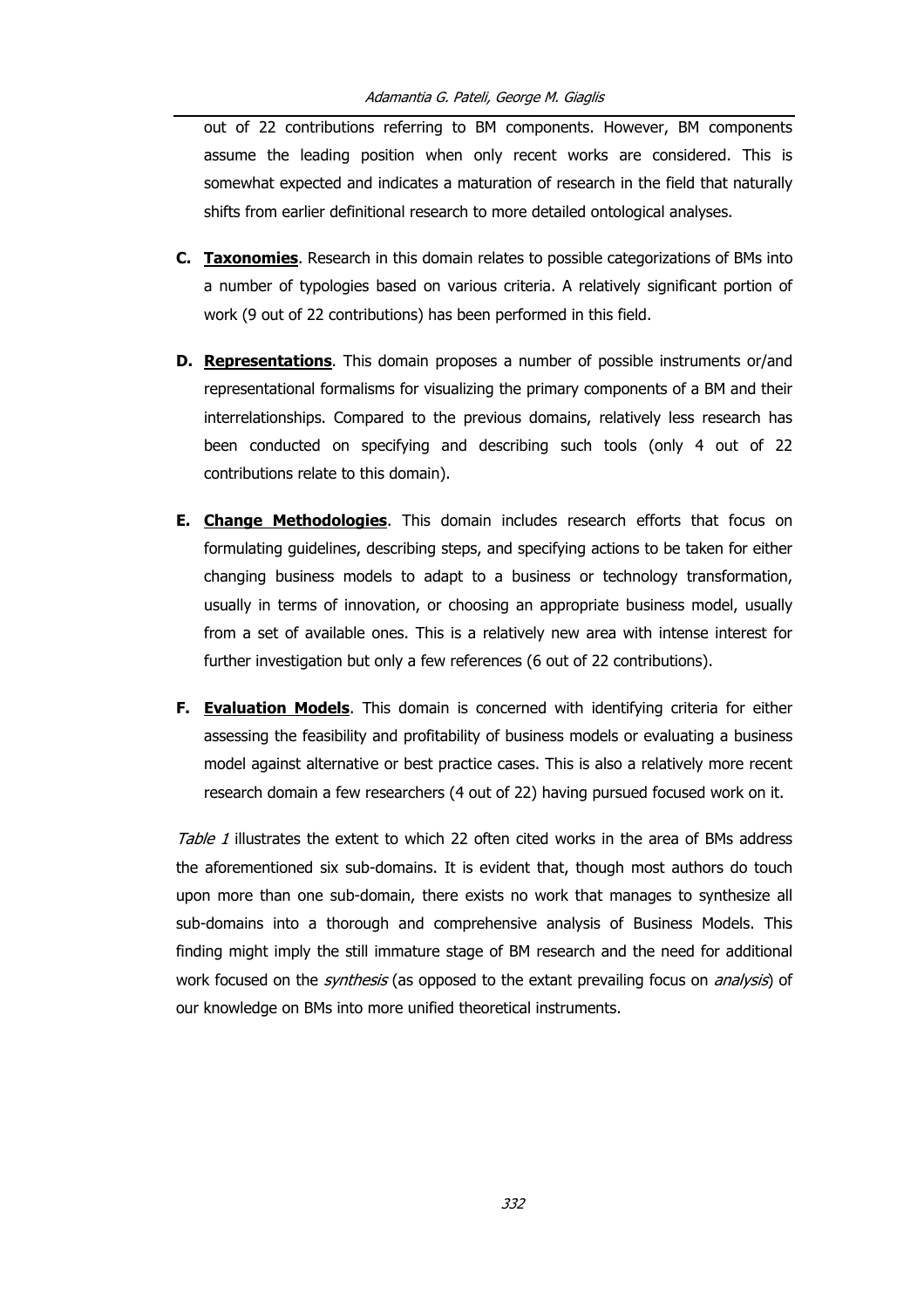out of 22 contributions referring to BM components. However, BM components assume the leading position when only recent works are considered. This is somewhat expected and indicates a maturation of research in the field that naturally shifts from earlier definitional research to more detailed ontological analyses.

- **C. Taxonomies**. Research in this domain relates to possible categorizations of BMs into a number of typologies based on various criteria. A relatively significant portion of work (9 out of 22 contributions) has been performed in this field.
- **D. Representations**. This domain proposes a number of possible instruments or/and representational formalisms for visualizing the primary components of a BM and their interrelationships. Compared to the previous domains, relatively less research has been conducted on specifying and describing such tools (only 4 out of 22 contributions relate to this domain).
- **E. Change Methodologies**. This domain includes research efforts that focus on formulating guidelines, describing steps, and specifying actions to be taken for either changing business models to adapt to a business or technology transformation, usually in terms of innovation, or choosing an appropriate business model, usually from a set of available ones. This is a relatively new area with intense interest for further investigation but only a few references (6 out of 22 contributions).
- **F. Evaluation Models**. This domain is concerned with identifying criteria for either assessing the feasibility and profitability of business models or evaluating a business model against alternative or best practice cases. This is also a relatively more recent research domain a few researchers (4 out of 22) having pursued focused work on it.

Table 1 illustrates the extent to which 22 often cited works in the area of BMs address the aforementioned six sub-domains. It is evident that, though most authors do touch upon more than one sub-domain, there exists no work that manages to synthesize all sub-domains into a thorough and comprehensive analysis of Business Models. This finding might imply the still immature stage of BM research and the need for additional work focused on the *synthesis* (as opposed to the extant prevailing focus on *analysis*) of our knowledge on BMs into more unified theoretical instruments.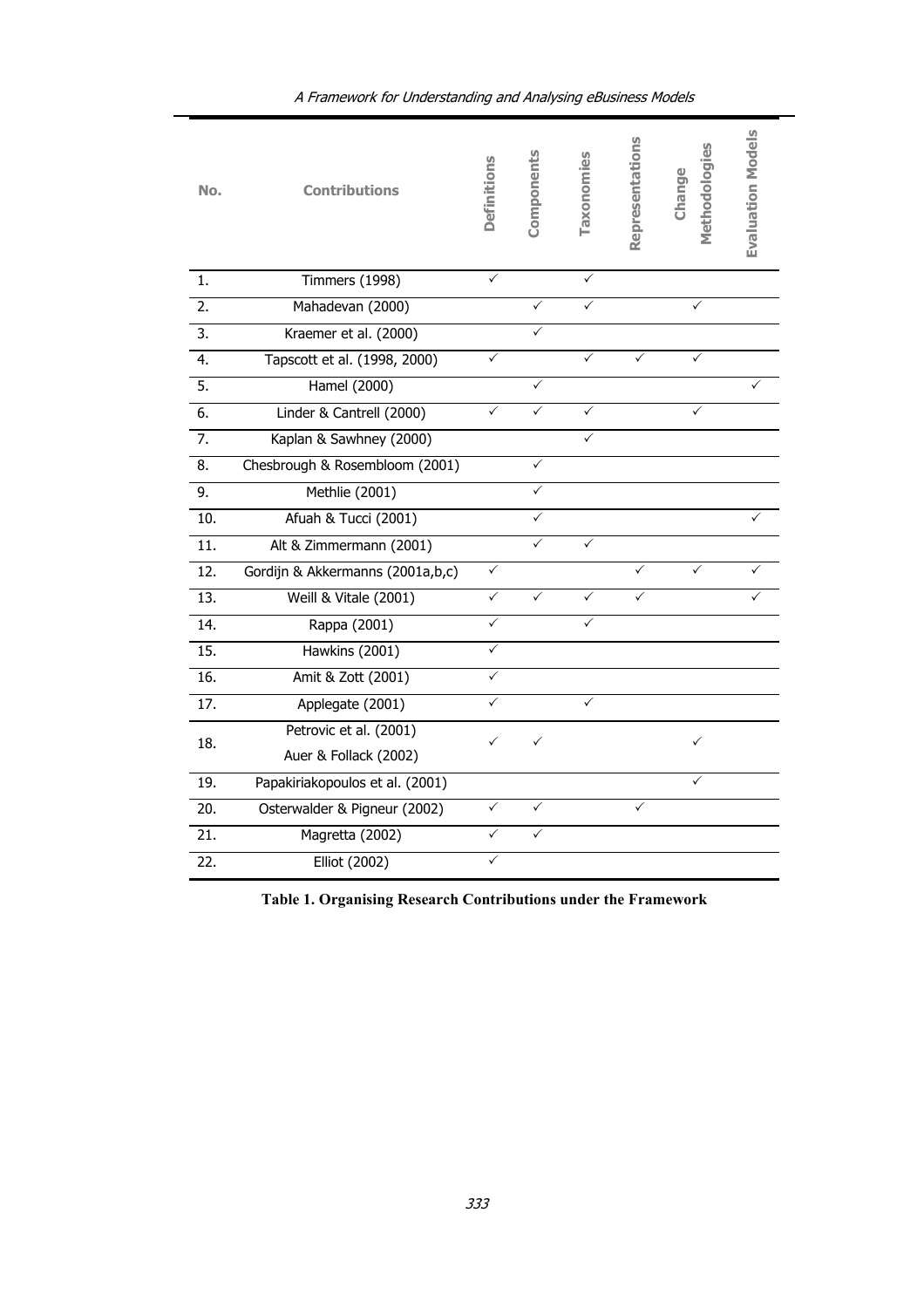| No.              | <b>Contributions</b>             | Definitions  | Components   | Taxonomies | Representations | Methodologies<br>Change | <b>Evaluation Models</b> |
|------------------|----------------------------------|--------------|--------------|------------|-----------------|-------------------------|--------------------------|
| 1.               | <b>Timmers (1998)</b>            | ✓            |              | ✓          |                 |                         |                          |
| 2.               | Mahadevan (2000)                 |              | ✓            |            |                 |                         |                          |
| $\overline{3}$ . | Kraemer et al. (2000)            |              | $\checkmark$ |            |                 |                         |                          |
| 4.               | Tapscott et al. (1998, 2000)     | ✓            |              | ✓          | ✓               | ✓                       |                          |
| 5.               | Hamel (2000)                     |              | ✓            |            |                 |                         |                          |
| 6.               | Linder & Cantrell (2000)         | ✓            | ✓            | ✓          |                 |                         |                          |
| 7.               | Kaplan & Sawhney (2000)          |              |              |            |                 |                         |                          |
| 8.               | Chesbrough & Rosembloom (2001)   |              | ✓            |            |                 |                         |                          |
| 9.               | Methlie (2001)                   |              | $\checkmark$ |            |                 |                         |                          |
| 10.              | Afuah & Tucci (2001)             |              |              |            |                 |                         |                          |
| 11.              | Alt & Zimmermann (2001)          |              | ✓            | ✓          |                 |                         |                          |
| 12.              | Gordijn & Akkermanns (2001a,b,c) | $\checkmark$ |              |            | ✓               |                         |                          |
| 13.              | Weill & Vitale (2001)            |              |              |            |                 |                         |                          |
| 14.              | Rappa (2001)                     | ✓            |              | ✓          |                 |                         |                          |
| 15.              | Hawkins (2001)                   | ✓            |              |            |                 |                         |                          |
| 16.              | Amit & Zott (2001)               | ✓            |              |            |                 |                         |                          |
| 17.              | Applegate (2001)                 | $\checkmark$ |              | ✓          |                 |                         |                          |
| 18.              | Petrovic et al. (2001)           |              | ✓            |            |                 | ✓                       |                          |
|                  | Auer & Follack (2002)            |              |              |            |                 |                         |                          |
| 19.              | Papakiriakopoulos et al. (2001)  |              |              |            |                 |                         |                          |
| 20.              | Osterwalder & Pigneur (2002)     | ✓            | ✓            |            | ✓               |                         |                          |
| 21.              | Magretta (2002)                  | ✓            | ✓            |            |                 |                         |                          |
| 22.              | Elliot (2002)                    | $\checkmark$ |              |            |                 |                         |                          |

# A Framework for Understanding and Analysing eBusiness Models

**Table 1. Organising Research Contributions under the Framework**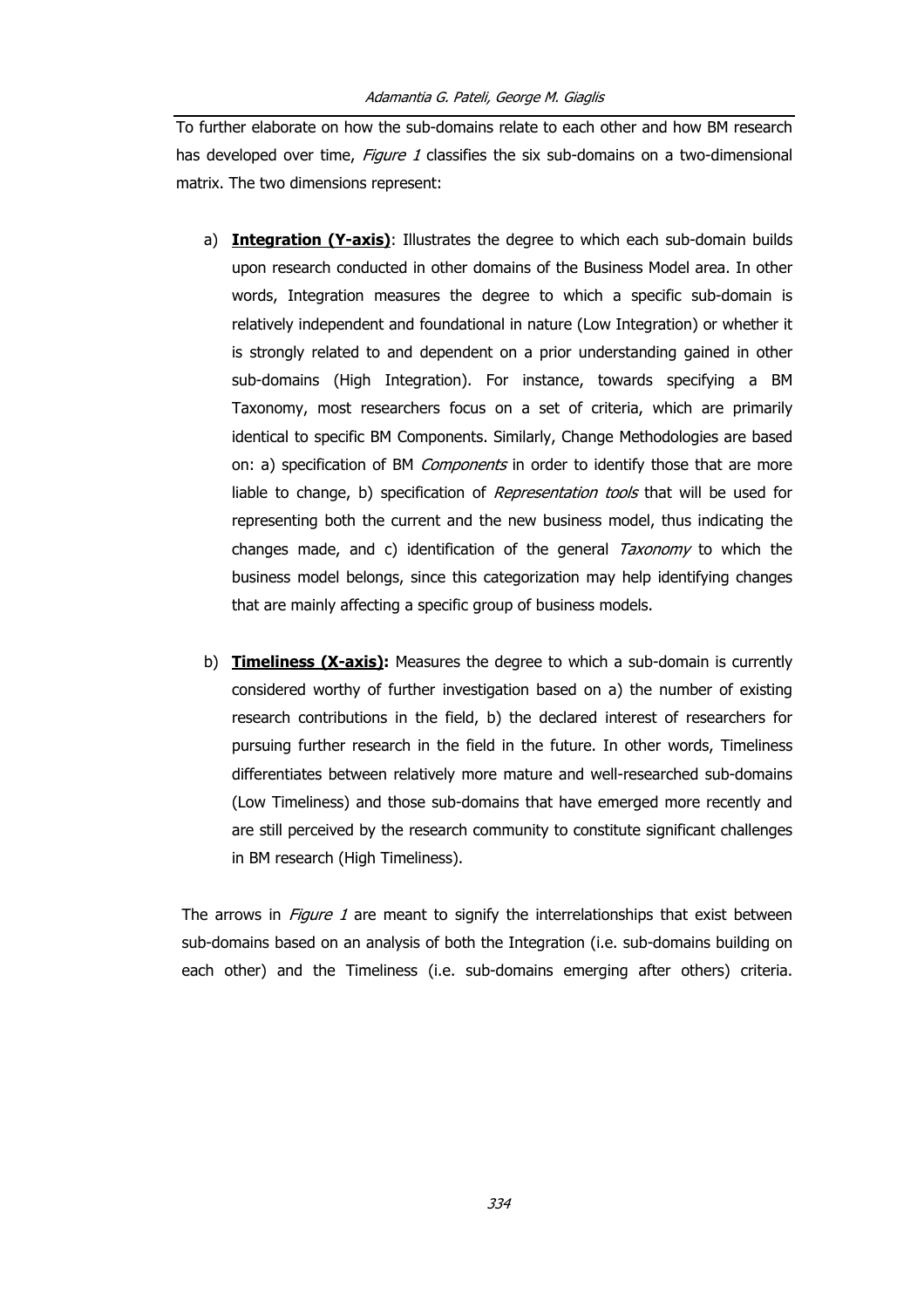To further elaborate on how the sub-domains relate to each other and how BM research has developed over time, Figure 1 classifies the six sub-domains on a two-dimensional matrix. The two dimensions represent:

- a) **Integration (Y-axis)**: Illustrates the degree to which each sub-domain builds upon research conducted in other domains of the Business Model area. In other words, Integration measures the degree to which a specific sub-domain is relatively independent and foundational in nature (Low Integration) or whether it is strongly related to and dependent on a prior understanding gained in other sub-domains (High Integration). For instance, towards specifying a BM Taxonomy, most researchers focus on a set of criteria, which are primarily identical to specific BM Components. Similarly, Change Methodologies are based on: a) specification of BM Components in order to identify those that are more liable to change, b) specification of *Representation tools* that will be used for representing both the current and the new business model, thus indicating the changes made, and c) identification of the general  $Taxonomy$  to which the business model belongs, since this categorization may help identifying changes that are mainly affecting a specific group of business models.
- b) **Timeliness (X-axis):** Measures the degree to which a sub-domain is currently considered worthy of further investigation based on a) the number of existing research contributions in the field, b) the declared interest of researchers for pursuing further research in the field in the future. In other words, Timeliness differentiates between relatively more mature and well-researched sub-domains (Low Timeliness) and those sub-domains that have emerged more recently and are still perceived by the research community to constitute significant challenges in BM research (High Timeliness).

The arrows in *Figure 1* are meant to signify the interrelationships that exist between sub-domains based on an analysis of both the Integration (i.e. sub-domains building on each other) and the Timeliness (i.e. sub-domains emerging after others) criteria.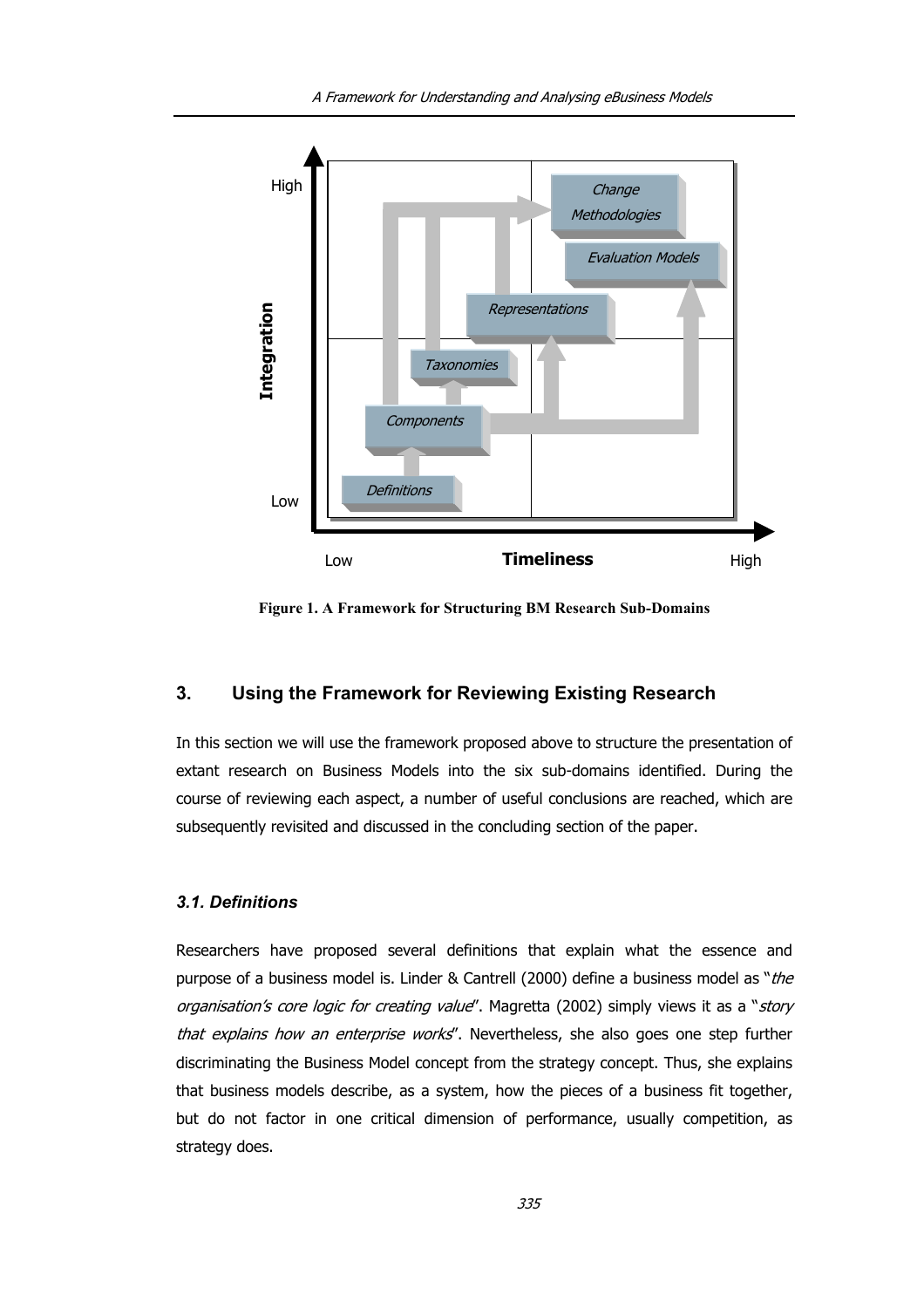

**Figure 1. A Framework for Structuring BM Research Sub-Domains** 

# **3. Using the Framework for Reviewing Existing Research**

In this section we will use the framework proposed above to structure the presentation of extant research on Business Models into the six sub-domains identified. During the course of reviewing each aspect, a number of useful conclusions are reached, which are subsequently revisited and discussed in the concluding section of the paper.

#### *3.1. Definitions*

Researchers have proposed several definitions that explain what the essence and purpose of a business model is. Linder & Cantrell (2000) define a business model as "the organisation's core logic for creating value". Magretta (2002) simply views it as a "story that explains how an enterprise works". Nevertheless, she also goes one step further discriminating the Business Model concept from the strategy concept. Thus, she explains that business models describe, as a system, how the pieces of a business fit together, but do not factor in one critical dimension of performance, usually competition, as strategy does.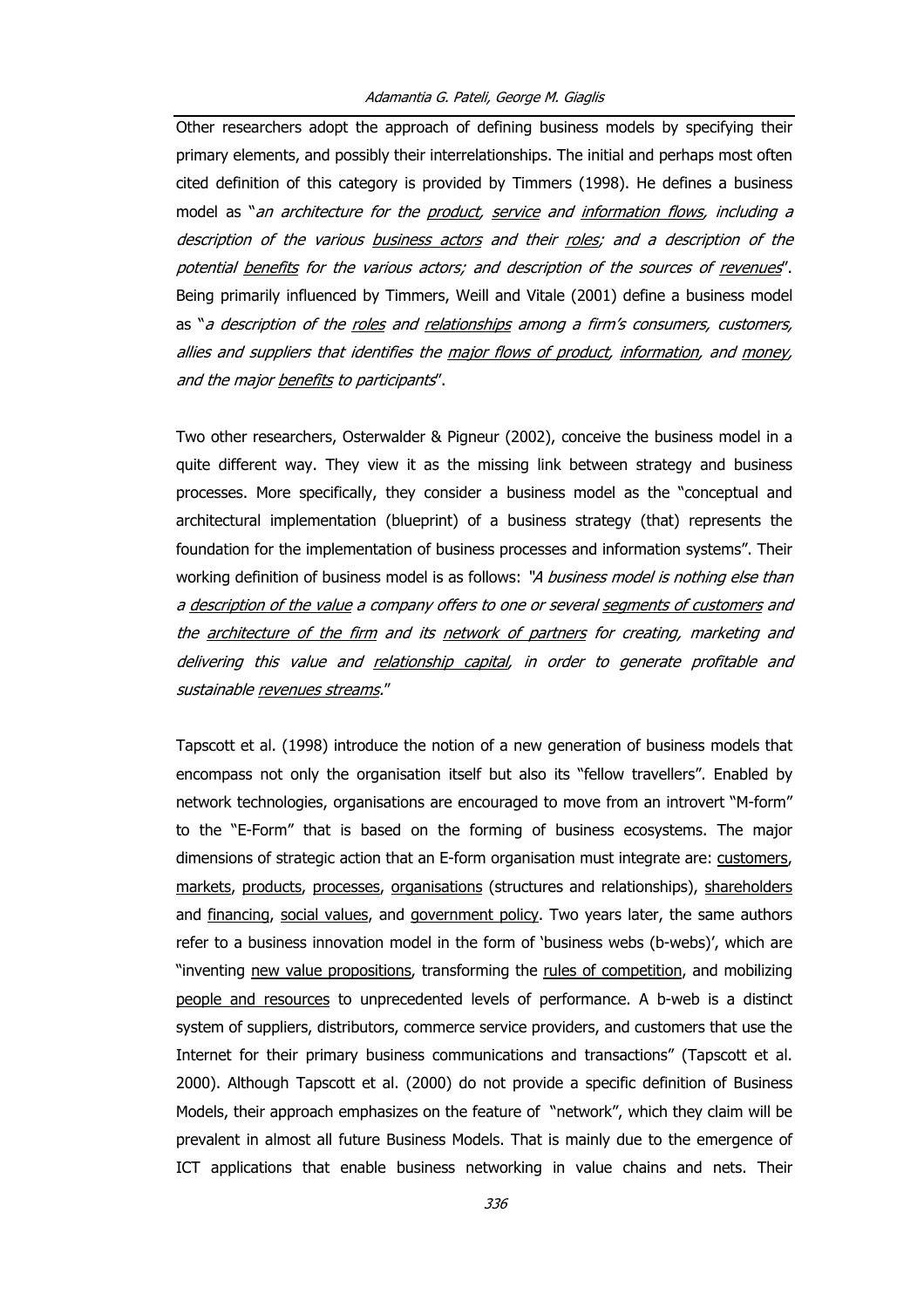Other researchers adopt the approach of defining business models by specifying their primary elements, and possibly their interrelationships. The initial and perhaps most often cited definition of this category is provided by Timmers (1998). He defines a business model as "an architecture for the product, service and information flows, including a description of the various business actors and their roles; and a description of the potential benefits for the various actors; and description of the sources of revenues". Being primarily influenced by Timmers, Weill and Vitale (2001) define a business model as "a description of the roles and relationships among a firm's consumers, customers, allies and suppliers that identifies the major flows of product, information, and money, and the major benefits to participants".

Two other researchers, Osterwalder & Pigneur (2002), conceive the business model in a quite different way. They view it as the missing link between strategy and business processes. More specifically, they consider a business model as the "conceptual and architectural implementation (blueprint) of a business strategy (that) represents the foundation for the implementation of business processes and information systems". Their working definition of business model is as follows: "A business model is nothing else than <sup>a</sup> description of the value <sup>a</sup> company offers to one or several segments of customers and the architecture of the firm and its network of partners for creating, marketing and delivering this value and relationship capital, in order to generate profitable and sustainable revenues streams."

Tapscott et al. (1998) introduce the notion of a new generation of business models that encompass not only the organisation itself but also its "fellow travellers". Enabled by network technologies, organisations are encouraged to move from an introvert "M-form" to the "E-Form" that is based on the forming of business ecosystems. The major dimensions of strategic action that an E-form organisation must integrate are: customers, markets, products, processes, organisations (structures and relationships), shareholders and financing, social values, and government policy. Two years later, the same authors refer to a business innovation model in the form of 'business webs (b-webs)', which are "inventing new value propositions, transforming the rules of competition, and mobilizing people and resources to unprecedented levels of performance. A b-web is a distinct system of suppliers, distributors, commerce service providers, and customers that use the Internet for their primary business communications and transactions" (Tapscott et al. 2000). Although Tapscott et al. (2000) do not provide a specific definition of Business Models, their approach emphasizes on the feature of "network", which they claim will be prevalent in almost all future Business Models. That is mainly due to the emergence of ICT applications that enable business networking in value chains and nets. Their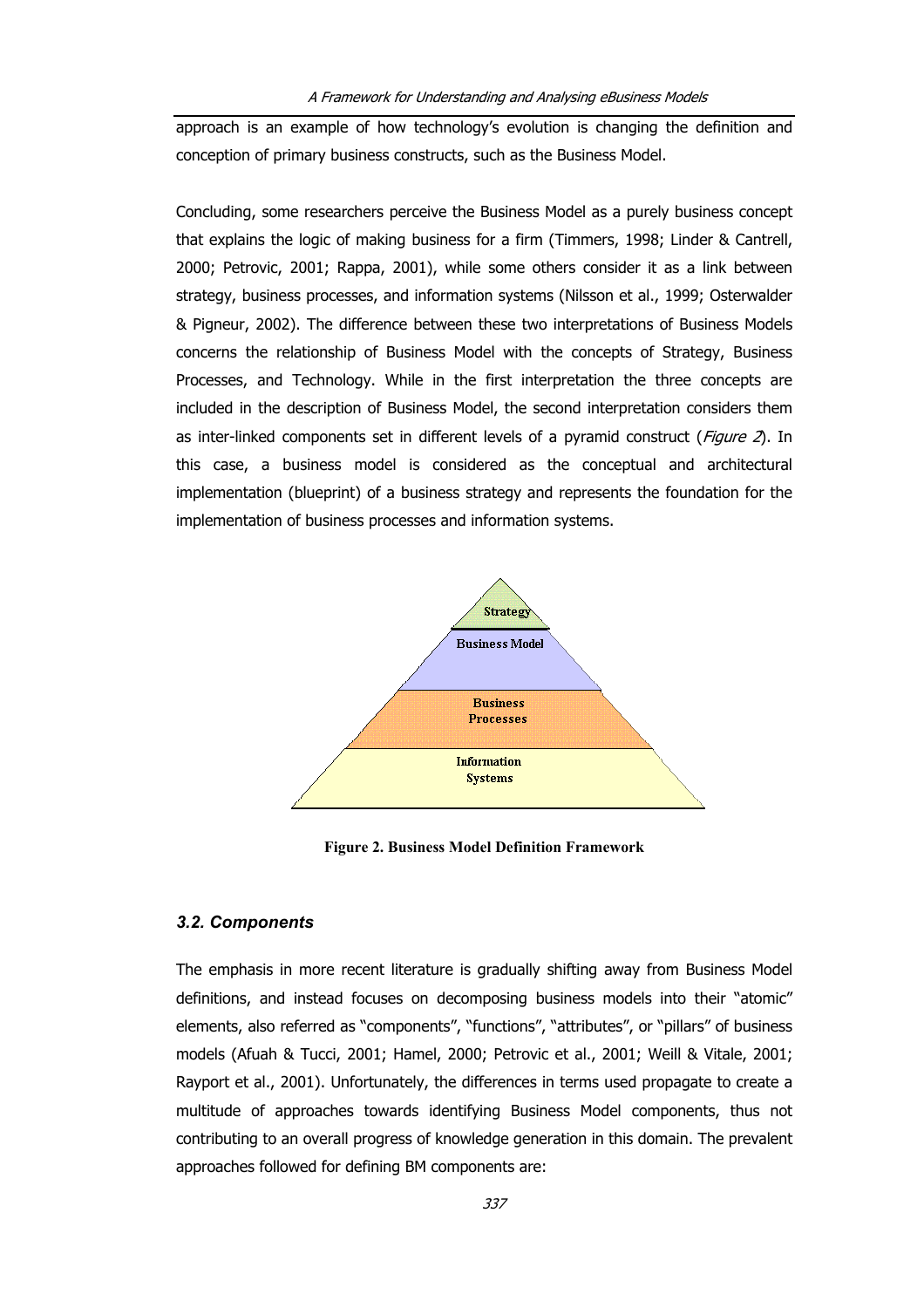approach is an example of how technology's evolution is changing the definition and conception of primary business constructs, such as the Business Model.

Concluding, some researchers perceive the Business Model as a purely business concept that explains the logic of making business for a firm (Timmers, 1998; Linder & Cantrell, 2000; Petrovic, 2001; Rappa, 2001), while some others consider it as a link between strategy, business processes, and information systems (Nilsson et al., 1999; Osterwalder & Pigneur, 2002). The difference between these two interpretations of Business Models concerns the relationship of Business Model with the concepts of Strategy, Business Processes, and Technology. While in the first interpretation the three concepts are included in the description of Business Model, the second interpretation considers them as inter-linked components set in different levels of a pyramid construct ( $Figure 2$ ). In this case, a business model is considered as the conceptual and architectural implementation (blueprint) of a business strategy and represents the foundation for the implementation of business processes and information systems.



**Figure 2. Business Model Definition Framework** 

## *3.2. Components*

The emphasis in more recent literature is gradually shifting away from Business Model definitions, and instead focuses on decomposing business models into their "atomic" elements, also referred as "components", "functions", "attributes", or "pillars" of business models (Afuah & Tucci, 2001; Hamel, 2000; Petrovic et al., 2001; Weill & Vitale, 2001; Rayport et al., 2001). Unfortunately, the differences in terms used propagate to create a multitude of approaches towards identifying Business Model components, thus not contributing to an overall progress of knowledge generation in this domain. The prevalent approaches followed for defining BM components are: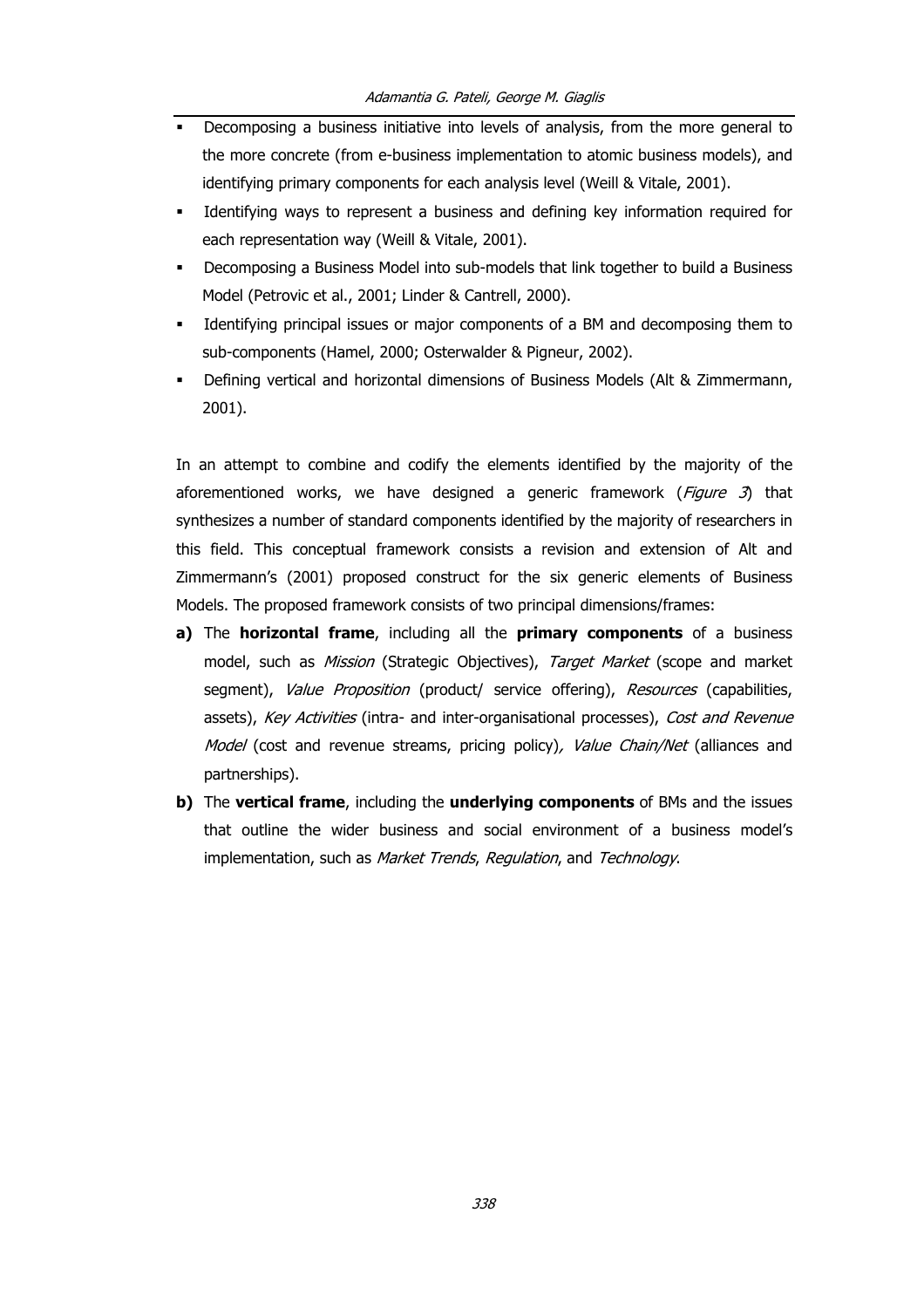- **•** Decomposing a business initiative into levels of analysis, from the more general to the more concrete (from e-business implementation to atomic business models), and identifying primary components for each analysis level (Weill & Vitale, 2001).
- Identifying ways to represent a business and defining key information required for each representation way (Weill & Vitale, 2001).
- Decomposing a Business Model into sub-models that link together to build a Business Model (Petrovic et al., 2001; Linder & Cantrell, 2000).
- Identifying principal issues or major components of a BM and decomposing them to sub-components (Hamel, 2000; Osterwalder & Pigneur, 2002).
- Defining vertical and horizontal dimensions of Business Models (Alt & Zimmermann, 2001).

In an attempt to combine and codify the elements identified by the majority of the aforementioned works, we have designed a generic framework ( $Figure 3$ ) that synthesizes a number of standard components identified by the majority of researchers in this field. This conceptual framework consists a revision and extension of Alt and Zimmermann's (2001) proposed construct for the six generic elements of Business Models. The proposed framework consists of two principal dimensions/frames:

- **a)** The **horizontal frame**, including all the **primary components** of a business model, such as Mission (Strategic Objectives), Target Market (scope and market segment), Value Proposition (product/ service offering), Resources (capabilities, assets), Key Activities (intra- and inter-organisational processes), Cost and Revenue Model (cost and revenue streams, pricing policy), Value Chain/Net (alliances and partnerships).
- **b)** The **vertical frame**, including the **underlying components** of BMs and the issues that outline the wider business and social environment of a business model's implementation, such as Market Trends, Regulation, and Technology.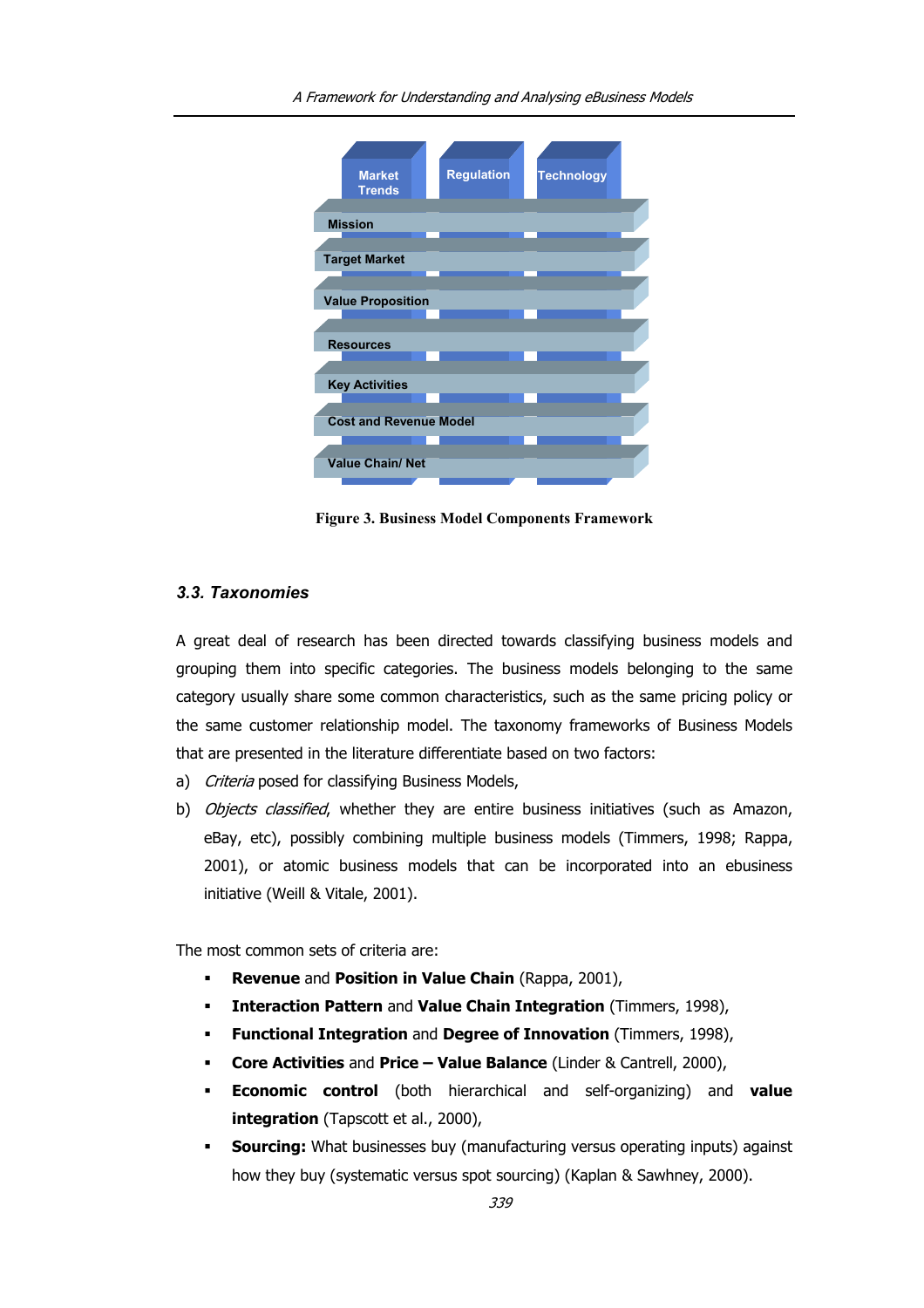

**Figure 3. Business Model Components Framework** 

# *3.3. Taxonomies*

A great deal of research has been directed towards classifying business models and grouping them into specific categories. The business models belonging to the same category usually share some common characteristics, such as the same pricing policy or the same customer relationship model. The taxonomy frameworks of Business Models that are presented in the literature differentiate based on two factors:

- a) Criteria posed for classifying Business Models,
- b) Objects classified, whether they are entire business initiatives (such as Amazon, eBay, etc), possibly combining multiple business models (Timmers, 1998; Rappa, 2001), or atomic business models that can be incorporated into an ebusiness initiative (Weill & Vitale, 2001).

The most common sets of criteria are:

- **Revenue** and **Position in Value Chain** (Rappa, 2001),
- **Interaction Pattern** and **Value Chain Integration** (Timmers, 1998),
- **Functional Integration** and **Degree of Innovation** (Timmers, 1998),
- **Core Activities** and **Price Value Balance** (Linder & Cantrell, 2000),
- **Economic control** (both hierarchical and self-organizing) and **value integration** (Tapscott et al., 2000),
- **Sourcing:** What businesses buy (manufacturing versus operating inputs) against how they buy (systematic versus spot sourcing) (Kaplan & Sawhney, 2000).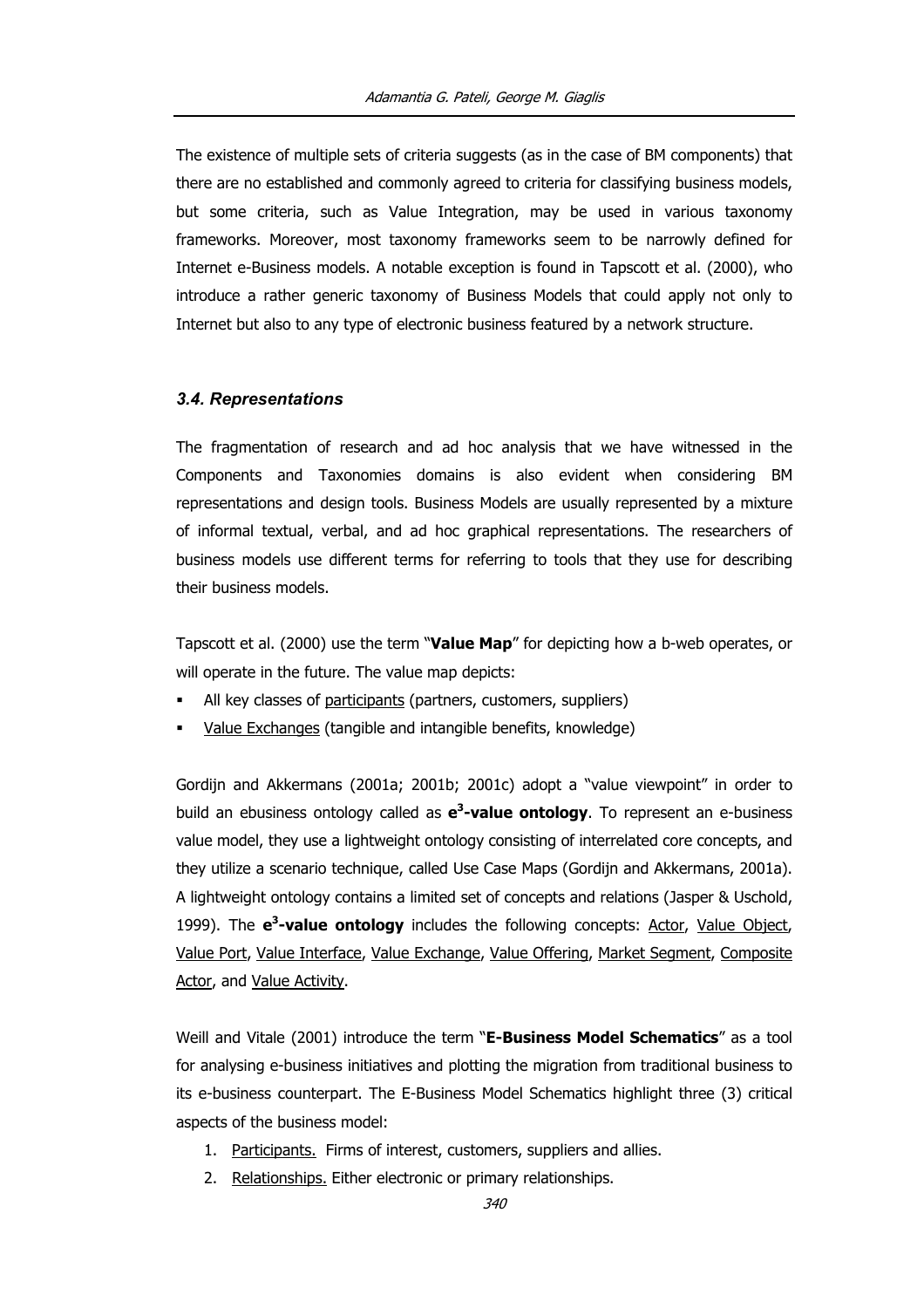The existence of multiple sets of criteria suggests (as in the case of BM components) that there are no established and commonly agreed to criteria for classifying business models, but some criteria, such as Value Integration, may be used in various taxonomy frameworks. Moreover, most taxonomy frameworks seem to be narrowly defined for Internet e-Business models. A notable exception is found in Tapscott et al. (2000), who introduce a rather generic taxonomy of Business Models that could apply not only to Internet but also to any type of electronic business featured by a network structure.

# *3.4. Representations*

The fragmentation of research and ad hoc analysis that we have witnessed in the Components and Taxonomies domains is also evident when considering BM representations and design tools. Business Models are usually represented by a mixture of informal textual, verbal, and ad hoc graphical representations. The researchers of business models use different terms for referring to tools that they use for describing their business models.

Tapscott et al. (2000) use the term "**Value Map**" for depicting how a b-web operates, or will operate in the future. The value map depicts:

- All key classes of participants (partners, customers, suppliers)
- Value Exchanges (tangible and intangible benefits, knowledge)

Gordijn and Akkermans (2001a; 2001b; 2001c) adopt a "value viewpoint" in order to build an ebusiness ontology called as **e<sup>3</sup>-value ontology**. To represent an e-business value model, they use a lightweight ontology consisting of interrelated core concepts, and they utilize a scenario technique, called Use Case Maps (Gordijn and Akkermans, 2001a). A lightweight ontology contains a limited set of concepts and relations (Jasper & Uschold, 1999). The **e<sup>3</sup>-value ontology** includes the following concepts: Actor, Value Object, Value Port, Value Interface, Value Exchange, Value Offering, Market Segment, Composite Actor, and Value Activity.

Weill and Vitale (2001) introduce the term "**E-Business Model Schematics**" as a tool for analysing e-business initiatives and plotting the migration from traditional business to its e-business counterpart. The E-Business Model Schematics highlight three (3) critical aspects of the business model:

- 1. Participants. Firms of interest, customers, suppliers and allies.
- 2. Relationships. Either electronic or primary relationships.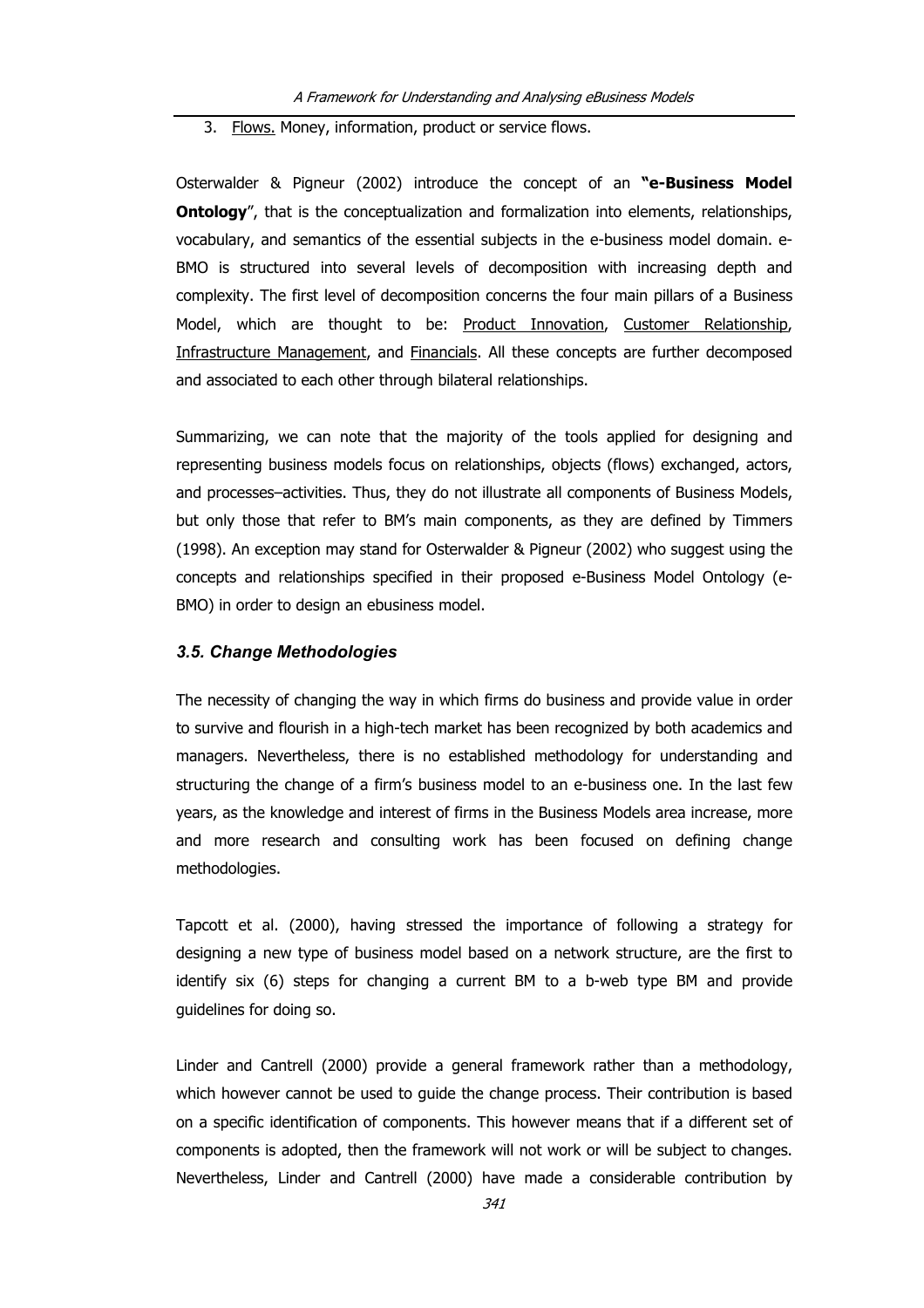# 3. Flows. Money, information, product or service flows.

Osterwalder & Pigneur (2002) introduce the concept of an **"e-Business Model Ontology**", that is the conceptualization and formalization into elements, relationships, vocabulary, and semantics of the essential subjects in the e-business model domain. e-BMO is structured into several levels of decomposition with increasing depth and complexity. The first level of decomposition concerns the four main pillars of a Business Model, which are thought to be: Product Innovation, Customer Relationship, Infrastructure Management, and Financials. All these concepts are further decomposed and associated to each other through bilateral relationships.

Summarizing, we can note that the majority of the tools applied for designing and representing business models focus on relationships, objects (flows) exchanged, actors, and processes–activities. Thus, they do not illustrate all components of Business Models, but only those that refer to BM's main components, as they are defined by Timmers (1998). An exception may stand for Osterwalder & Pigneur (2002) who suggest using the concepts and relationships specified in their proposed e-Business Model Ontology (e-BMO) in order to design an ebusiness model.

## *3.5. Change Methodologies*

The necessity of changing the way in which firms do business and provide value in order to survive and flourish in a high-tech market has been recognized by both academics and managers. Nevertheless, there is no established methodology for understanding and structuring the change of a firm's business model to an e-business one. In the last few years, as the knowledge and interest of firms in the Business Models area increase, more and more research and consulting work has been focused on defining change methodologies.

Tapcott et al. (2000), having stressed the importance of following a strategy for designing a new type of business model based on a network structure, are the first to identify six (6) steps for changing a current BM to a b-web type BM and provide guidelines for doing so.

Linder and Cantrell (2000) provide a general framework rather than a methodology, which however cannot be used to guide the change process. Their contribution is based on a specific identification of components. This however means that if a different set of components is adopted, then the framework will not work or will be subject to changes. Nevertheless, Linder and Cantrell (2000) have made a considerable contribution by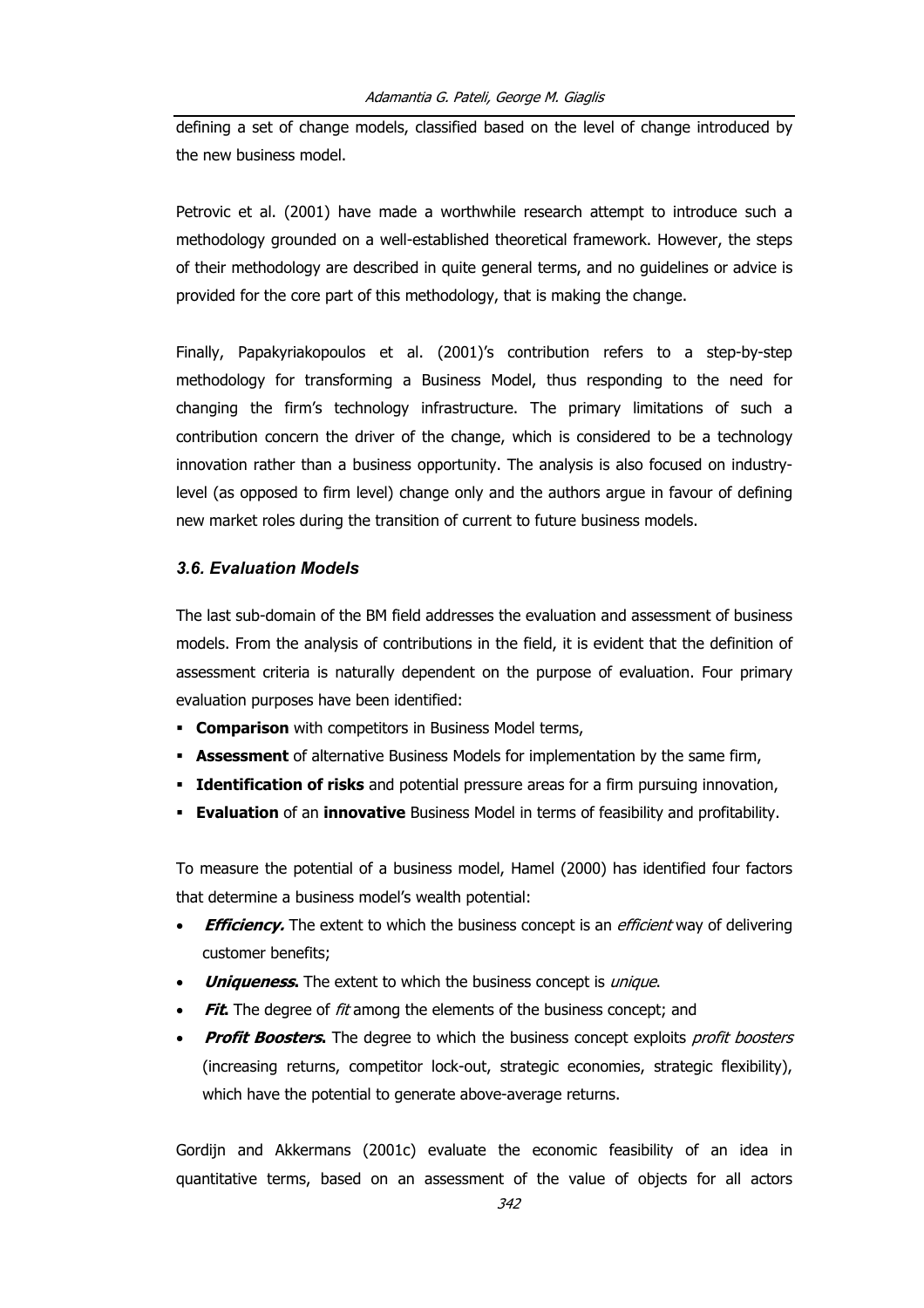defining a set of change models, classified based on the level of change introduced by the new business model.

Petrovic et al. (2001) have made a worthwhile research attempt to introduce such a methodology grounded on a well-established theoretical framework. However, the steps of their methodology are described in quite general terms, and no guidelines or advice is provided for the core part of this methodology, that is making the change.

Finally, Papakyriakopoulos et al. (2001)'s contribution refers to a step-by-step methodology for transforming a Business Model, thus responding to the need for changing the firm's technology infrastructure. The primary limitations of such a contribution concern the driver of the change, which is considered to be a technology innovation rather than a business opportunity. The analysis is also focused on industrylevel (as opposed to firm level) change only and the authors argue in favour of defining new market roles during the transition of current to future business models.

# *3.6. Evaluation Models*

The last sub-domain of the BM field addresses the evaluation and assessment of business models. From the analysis of contributions in the field, it is evident that the definition of assessment criteria is naturally dependent on the purpose of evaluation. Four primary evaluation purposes have been identified:

- **Comparison** with competitors in Business Model terms,
- **Assessment** of alternative Business Models for implementation by the same firm,
- **Identification of risks** and potential pressure areas for a firm pursuing innovation,
- **Evaluation** of an **innovative** Business Model in terms of feasibility and profitability.

To measure the potential of a business model, Hamel (2000) has identified four factors that determine a business model's wealth potential:

- **Efficiency.** The extent to which the business concept is an *efficient* way of delivering customer benefits;
- *Uniqueness*. The extent to which the business concept is *unique*.
- **Fit.** The degree of fit among the elements of the business concept; and
- **Profit Boosters.** The degree to which the business concept exploits profit boosters (increasing returns, competitor lock-out, strategic economies, strategic flexibility), which have the potential to generate above-average returns.

Gordijn and Akkermans (2001c) evaluate the economic feasibility of an idea in quantitative terms, based on an assessment of the value of objects for all actors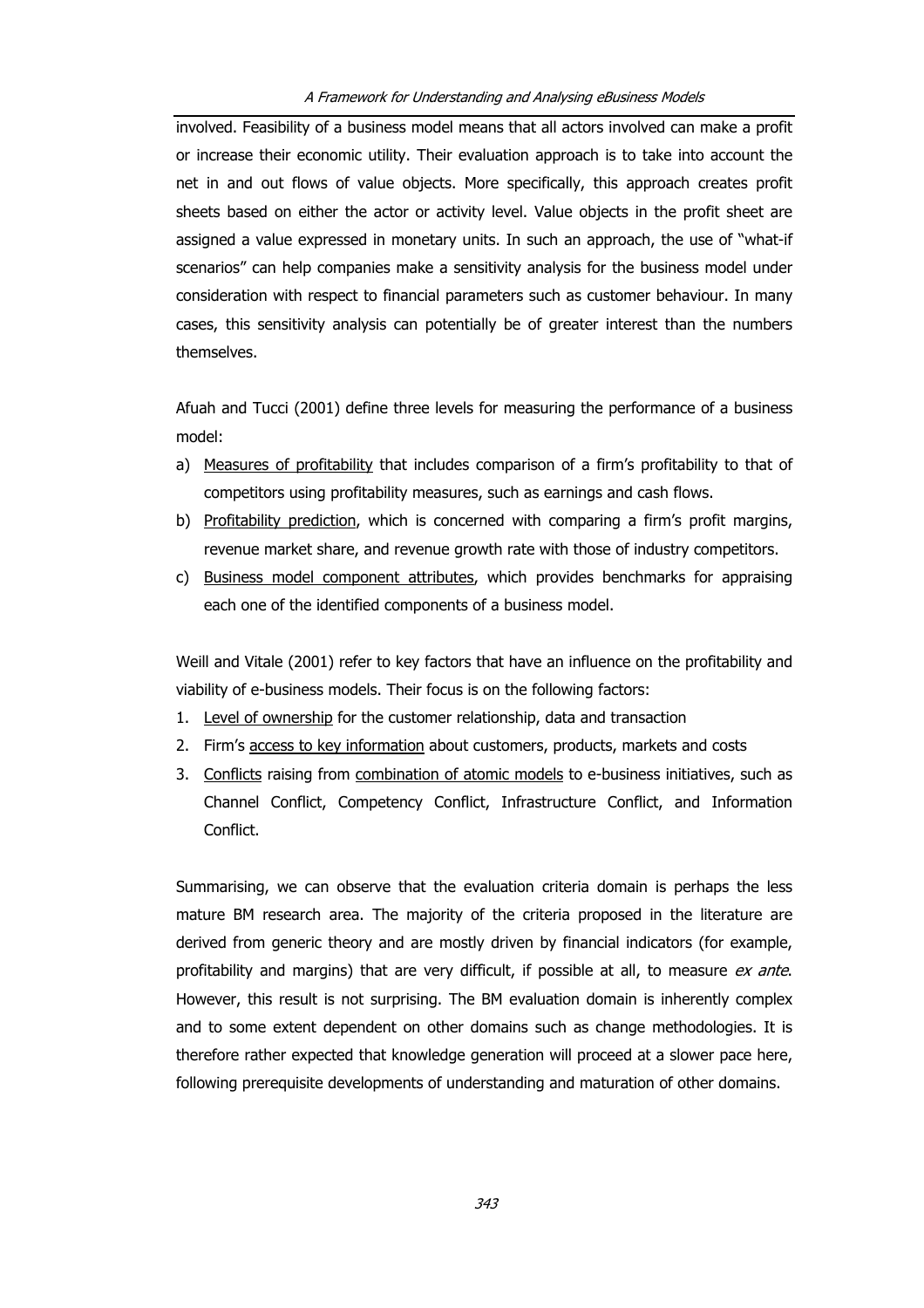involved. Feasibility of a business model means that all actors involved can make a profit or increase their economic utility. Their evaluation approach is to take into account the net in and out flows of value objects. More specifically, this approach creates profit sheets based on either the actor or activity level. Value objects in the profit sheet are assigned a value expressed in monetary units. In such an approach, the use of "what-if scenarios" can help companies make a sensitivity analysis for the business model under consideration with respect to financial parameters such as customer behaviour. In many cases, this sensitivity analysis can potentially be of greater interest than the numbers themselves.

Afuah and Tucci (2001) define three levels for measuring the performance of a business model:

- a) Measures of profitability that includes comparison of a firm's profitability to that of competitors using profitability measures, such as earnings and cash flows.
- b) Profitability prediction, which is concerned with comparing a firm's profit margins, revenue market share, and revenue growth rate with those of industry competitors.
- c) Business model component attributes, which provides benchmarks for appraising each one of the identified components of a business model.

Weill and Vitale (2001) refer to key factors that have an influence on the profitability and viability of e-business models. Their focus is on the following factors:

- 1. Level of ownership for the customer relationship, data and transaction
- 2. Firm's access to key information about customers, products, markets and costs
- 3. Conflicts raising from combination of atomic models to e-business initiatives, such as Channel Conflict, Competency Conflict, Infrastructure Conflict, and Information Conflict.

Summarising, we can observe that the evaluation criteria domain is perhaps the less mature BM research area. The majority of the criteria proposed in the literature are derived from generic theory and are mostly driven by financial indicators (for example, profitability and margins) that are very difficult, if possible at all, to measure ex ante. However, this result is not surprising. The BM evaluation domain is inherently complex and to some extent dependent on other domains such as change methodologies. It is therefore rather expected that knowledge generation will proceed at a slower pace here, following prerequisite developments of understanding and maturation of other domains.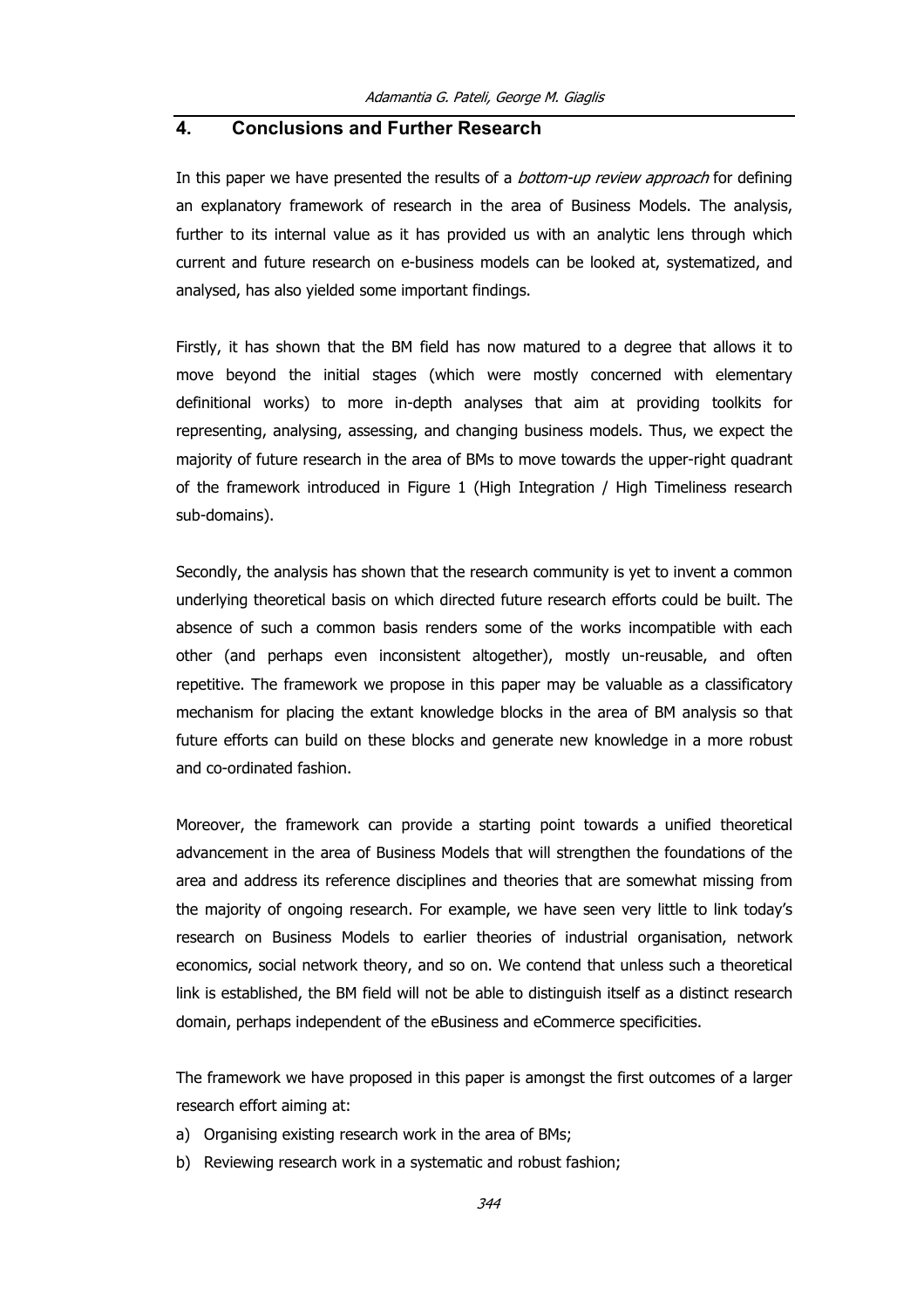# **4. Conclusions and Further Research**

In this paper we have presented the results of a *bottom-up review approach* for defining an explanatory framework of research in the area of Business Models. The analysis, further to its internal value as it has provided us with an analytic lens through which current and future research on e-business models can be looked at, systematized, and analysed, has also yielded some important findings.

Firstly, it has shown that the BM field has now matured to a degree that allows it to move beyond the initial stages (which were mostly concerned with elementary definitional works) to more in-depth analyses that aim at providing toolkits for representing, analysing, assessing, and changing business models. Thus, we expect the majority of future research in the area of BMs to move towards the upper-right quadrant of the framework introduced in Figure 1 (High Integration / High Timeliness research sub-domains).

Secondly, the analysis has shown that the research community is yet to invent a common underlying theoretical basis on which directed future research efforts could be built. The absence of such a common basis renders some of the works incompatible with each other (and perhaps even inconsistent altogether), mostly un-reusable, and often repetitive. The framework we propose in this paper may be valuable as a classificatory mechanism for placing the extant knowledge blocks in the area of BM analysis so that future efforts can build on these blocks and generate new knowledge in a more robust and co-ordinated fashion.

Moreover, the framework can provide a starting point towards a unified theoretical advancement in the area of Business Models that will strengthen the foundations of the area and address its reference disciplines and theories that are somewhat missing from the majority of ongoing research. For example, we have seen very little to link today's research on Business Models to earlier theories of industrial organisation, network economics, social network theory, and so on. We contend that unless such a theoretical link is established, the BM field will not be able to distinguish itself as a distinct research domain, perhaps independent of the eBusiness and eCommerce specificities.

The framework we have proposed in this paper is amongst the first outcomes of a larger research effort aiming at:

- a) Organising existing research work in the area of BMs;
- b) Reviewing research work in a systematic and robust fashion;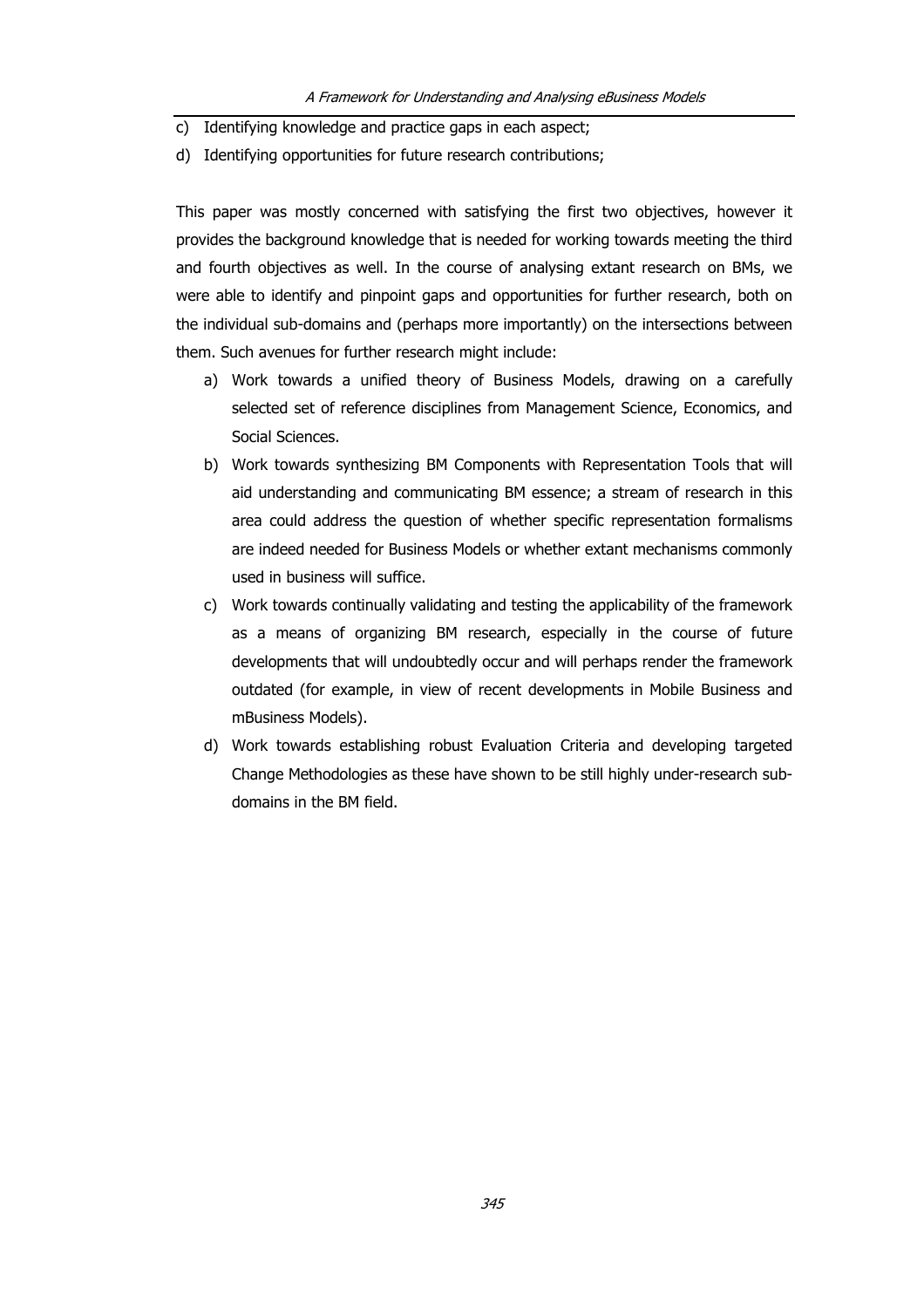- c) Identifying knowledge and practice gaps in each aspect;
- d) Identifying opportunities for future research contributions;

This paper was mostly concerned with satisfying the first two objectives, however it provides the background knowledge that is needed for working towards meeting the third and fourth objectives as well. In the course of analysing extant research on BMs, we were able to identify and pinpoint gaps and opportunities for further research, both on the individual sub-domains and (perhaps more importantly) on the intersections between them. Such avenues for further research might include:

- a) Work towards a unified theory of Business Models, drawing on a carefully selected set of reference disciplines from Management Science, Economics, and Social Sciences.
- b) Work towards synthesizing BM Components with Representation Tools that will aid understanding and communicating BM essence; a stream of research in this area could address the question of whether specific representation formalisms are indeed needed for Business Models or whether extant mechanisms commonly used in business will suffice.
- c) Work towards continually validating and testing the applicability of the framework as a means of organizing BM research, especially in the course of future developments that will undoubtedly occur and will perhaps render the framework outdated (for example, in view of recent developments in Mobile Business and mBusiness Models).
- d) Work towards establishing robust Evaluation Criteria and developing targeted Change Methodologies as these have shown to be still highly under-research subdomains in the BM field.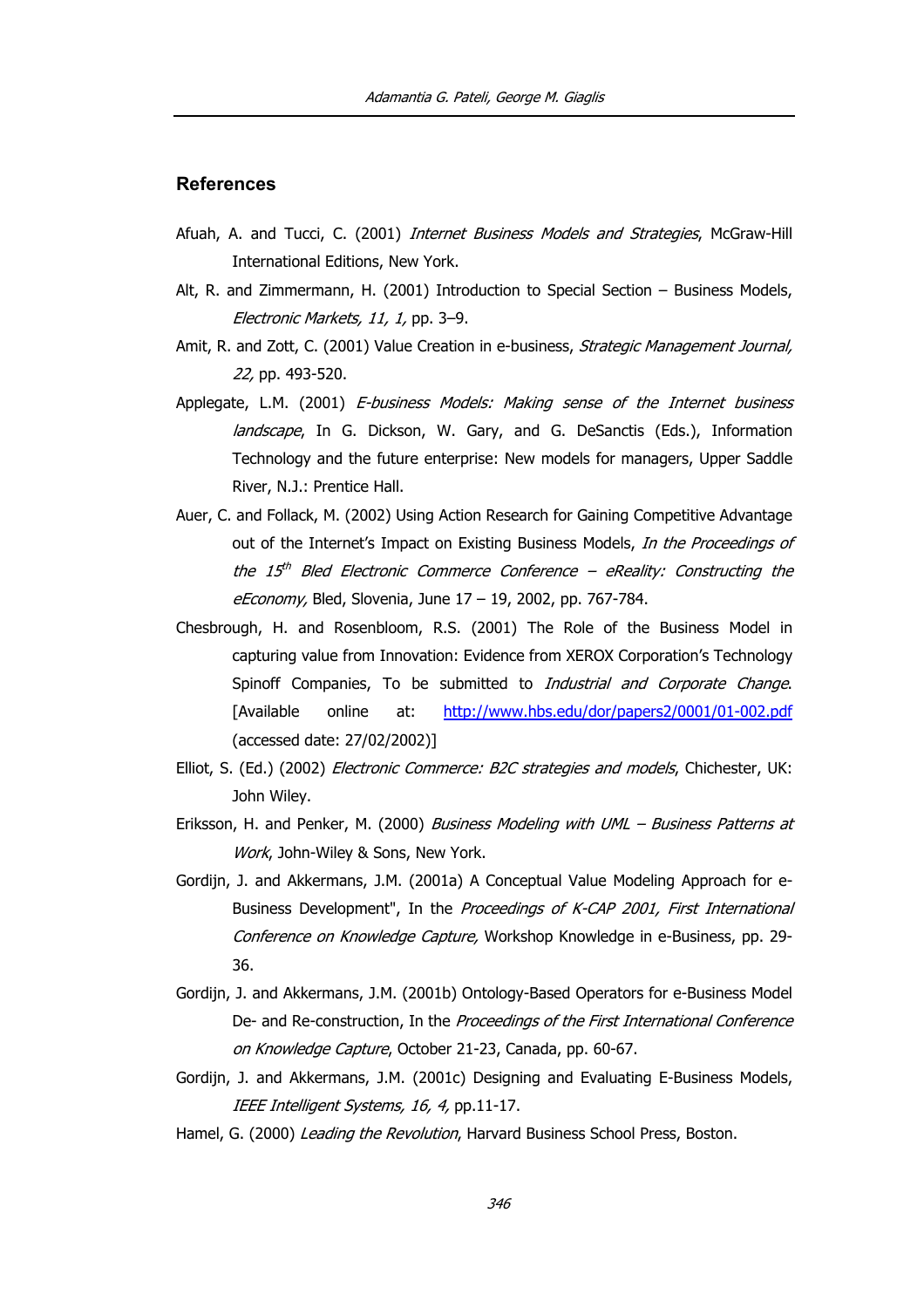## **References**

- Afuah, A. and Tucci, C. (2001) *Internet Business Models and Strategies*, McGraw-Hill International Editions, New York.
- Alt, R. and Zimmermann, H. (2001) Introduction to Special Section Business Models, Electronic Markets, 11, 1, pp. 3–9.
- Amit, R. and Zott, C. (2001) Value Creation in e-business, Strategic Management Journal, 22, pp. 493-520.
- Applegate, L.M. (2001) E-business Models: Making sense of the Internet business landscape, In G. Dickson, W. Gary, and G. DeSanctis (Eds.), Information Technology and the future enterprise: New models for managers, Upper Saddle River, N.J.: Prentice Hall.
- Auer, C. and Follack, M. (2002) Using Action Research for Gaining Competitive Advantage out of the Internet's Impact on Existing Business Models, In the Proceedings of the 15<sup>th</sup> Bled Electronic Commerce Conference – eReality: Constructing the eEconomy, Bled, Slovenia, June 17 - 19, 2002, pp. 767-784.
- Chesbrough, H. and Rosenbloom, R.S. (2001) The Role of the Business Model in capturing value from Innovation: Evidence from XEROX Corporation's Technology Spinoff Companies, To be submitted to *Industrial and Corporate Change*. [Available online at: <http://www.hbs.edu/dor/papers2/0001/01-002.pdf> (accessed date: 27/02/2002)]
- Elliot, S. (Ed.) (2002) *Electronic Commerce: B2C strategies and models*, Chichester, UK: John Wiley.
- Eriksson, H. and Penker, M. (2000) Business Modeling with UML Business Patterns at Work, John-Wiley & Sons, New York.
- Gordijn, J. and Akkermans, J.M. (2001a) A Conceptual Value Modeling Approach for e-Business Development", In the Proceedings of K-CAP 2001, First International Conference on Knowledge Capture, Workshop Knowledge in e-Business, pp. 29- 36.
- Gordijn, J. and Akkermans, J.M. (2001b) Ontology-Based Operators for e-Business Model De- and Re-construction, In the Proceedings of the First International Conference on Knowledge Capture, October 21-23, Canada, pp. 60-67.
- Gordijn, J. and Akkermans, J.M. (2001c) Designing and Evaluating E-Business Models, IEEE Intelligent Systems, 16, 4, pp.11-17.
- Hamel, G. (2000) Leading the Revolution, Harvard Business School Press, Boston.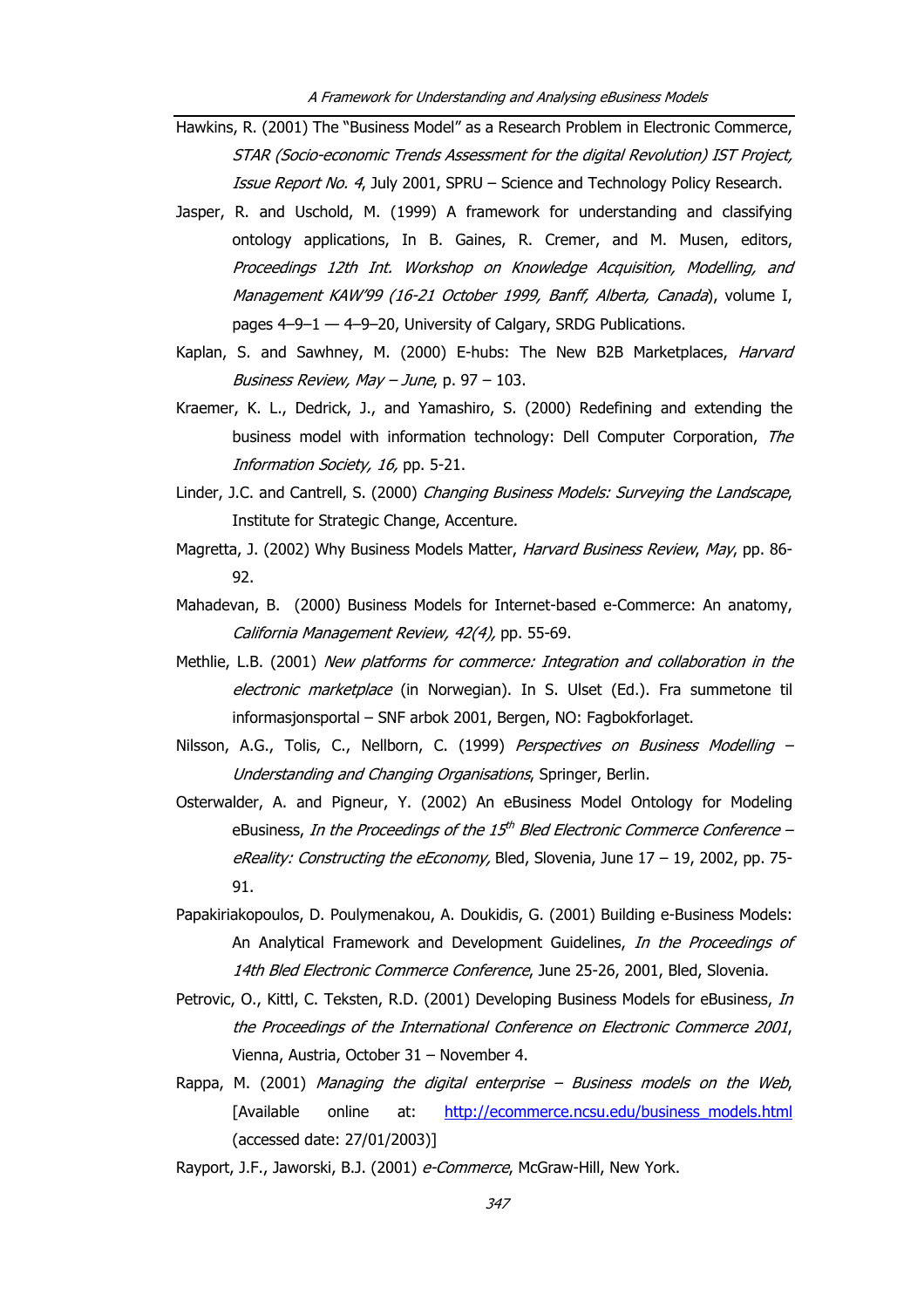- Hawkins, R. (2001) The "Business Model" as a Research Problem in Electronic Commerce, STAR (Socio-economic Trends Assessment for the digital Revolution) IST Project, Issue Report No. 4, July 2001, SPRU – Science and Technology Policy Research.
- Jasper, R. and Uschold, M. (1999) A framework for understanding and classifying ontology applications, In B. Gaines, R. Cremer, and M. Musen, editors, Proceedings 12th Int. Workshop on Knowledge Acquisition, Modelling, and Management KAW'99 (16-21 October 1999, Banff, Alberta, Canada), volume I, pages 4–9–1 — 4–9–20, University of Calgary, SRDG Publications.
- Kaplan, S. and Sawhney, M. (2000) E-hubs: The New B2B Marketplaces, *Harvard* Business Review, May  $-$  June, p. 97  $-$  103.
- Kraemer, K. L., Dedrick, J., and Yamashiro, S. (2000) Redefining and extending the business model with information technology: Dell Computer Corporation, The Information Society, 16, pp. 5-21.
- Linder, J.C. and Cantrell, S. (2000) Changing Business Models: Surveying the Landscape, Institute for Strategic Change, Accenture.
- Magretta, J. (2002) Why Business Models Matter, *Harvard Business Review, May*, pp. 86-92.
- Mahadevan, B. (2000) Business Models for Internet-based e-Commerce: An anatomy, California Management Review, 42(4), pp. 55-69.
- Methlie, L.B. (2001) New platforms for commerce: Integration and collaboration in the electronic marketplace (in Norwegian). In S. Ulset (Ed.). Fra summetone til informasjonsportal – SNF arbok 2001, Bergen, NO: Fagbokforlaget.
- Nilsson, A.G., Tolis, C., Nellborn, C. (1999) Perspectives on Business Modelling -Understanding and Changing Organisations, Springer, Berlin.
- Osterwalder, A. and Pigneur, Y. (2002) An eBusiness Model Ontology for Modeling eBusiness, In the Proceedings of the 15<sup>th</sup> Bled Electronic Commerce Conference – eReality: Constructing the eEconomy, Bled, Slovenia, June  $17 - 19$ , 2002, pp. 75-91.
- Papakiriakopoulos, D. Poulymenakou, A. Doukidis, G. (2001) Building e-Business Models: An Analytical Framework and Development Guidelines, In the Proceedings of 14th Bled Electronic Commerce Conference, June 25-26, 2001, Bled, Slovenia.
- Petrovic, O., Kittl, C. Teksten, R.D. (2001) Developing Business Models for eBusiness, *In* the Proceedings of the International Conference on Electronic Commerce 2001, Vienna, Austria, October 31 – November 4.
- Rappa, M. (2001) Managing the digital enterprise Business models on the Web, [Available online at: [http://ecommerce.ncsu.edu/business\\_models.html](http://ecommerce.ncsu.edu/business_models.html) (accessed date: 27/01/2003)]
- Rayport, J.F., Jaworski, B.J. (2001) e-Commerce, McGraw-Hill, New York.